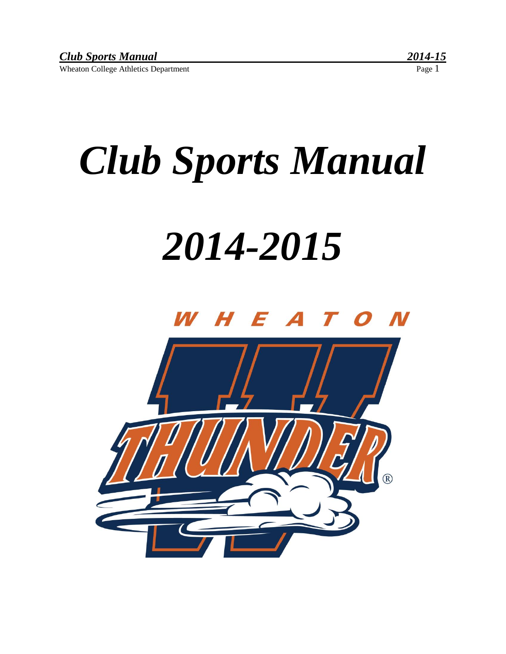# *Club Sports Manual*

## *2014-2015*

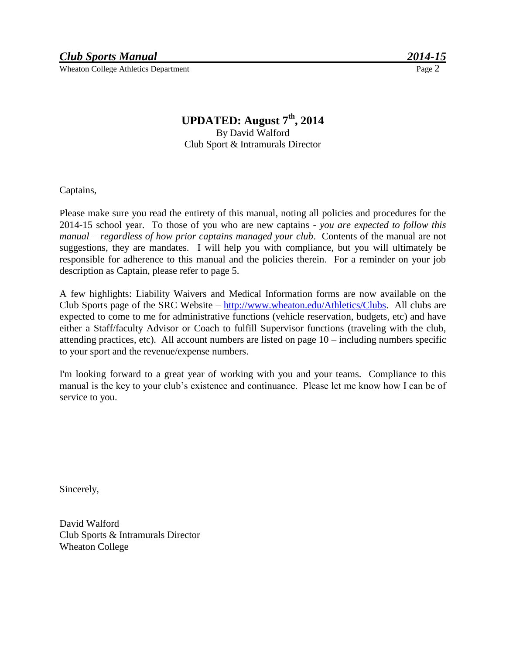#### **UPDATED: August 7th, 2014**

By David Walford Club Sport & Intramurals Director

Captains,

Please make sure you read the entirety of this manual, noting all policies and procedures for the 2014-15 school year. To those of you who are new captains - *you are expected to follow this manual – regardless of how prior captains managed your club*. Contents of the manual are not suggestions, they are mandates. I will help you with compliance, but you will ultimately be responsible for adherence to this manual and the policies therein. For a reminder on your job description as Captain, please refer to page 5.

A few highlights: Liability Waivers and Medical Information forms are now available on the Club Sports page of the SRC Website – [http://www.wheaton.edu/Athletics/Clubs.](https://www.wheaton.edu/life-at-wheaton/athletics/club-sports/) All clubs are expected to come to me for administrative functions (vehicle reservation, budgets, etc) and have either a Staff/faculty Advisor or Coach to fulfill Supervisor functions (traveling with the club, attending practices, etc). All account numbers are listed on page 10 – including numbers specific to your sport and the revenue/expense numbers.

I'm looking forward to a great year of working with you and your teams. Compliance to this manual is the key to your club's existence and continuance. Please let me know how I can be of service to you.

Sincerely,

David Walford Club Sports & Intramurals Director Wheaton College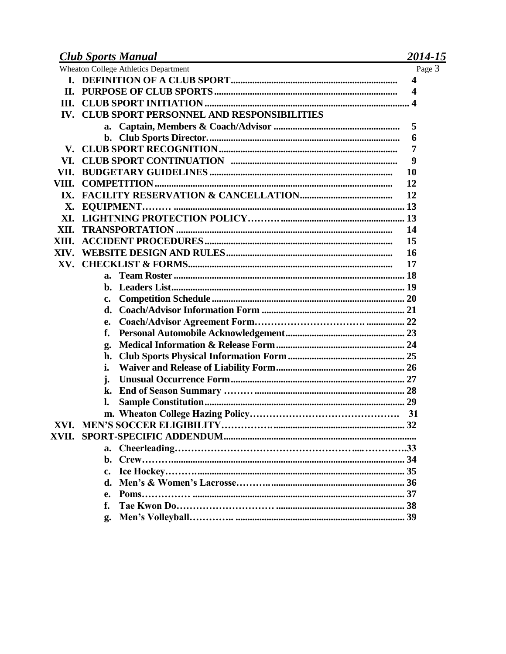#### 2014-15

|             | <b>Wheaton College Athletics Department</b>      | Page 3                  |
|-------------|--------------------------------------------------|-------------------------|
|             |                                                  | $\overline{\mathbf{4}}$ |
| П.          |                                                  | $\overline{\mathbf{4}}$ |
| Ш.          |                                                  |                         |
| IV.         | <b>CLUB SPORT PERSONNEL AND RESPONSIBILITIES</b> |                         |
|             |                                                  | 5                       |
|             |                                                  | 6                       |
| ${\bf V}$ . |                                                  | 7                       |
| VI.         |                                                  | 9                       |
| VII.        |                                                  | 10                      |
| VIII.       |                                                  | 12                      |
| IX.         |                                                  | 12                      |
| X.          |                                                  |                         |
| XI.         |                                                  |                         |
| XII.        |                                                  | 14                      |
| XIII.       |                                                  | 15                      |
| XIV.        |                                                  | 16                      |
| XV.         |                                                  | 17                      |
|             | а.                                               |                         |
|             | b.                                               |                         |
|             | c.                                               |                         |
|             | d.                                               |                         |
|             | e.                                               |                         |
|             | f.                                               |                         |
|             | g.                                               |                         |
|             | h.                                               |                         |
|             | i.                                               |                         |
|             | j.                                               |                         |
|             | k.                                               |                         |
|             |                                                  |                         |
|             |                                                  |                         |
|             |                                                  |                         |
|             |                                                  |                         |
|             | $a_{\cdot}$                                      |                         |
|             |                                                  |                         |
|             | $c_{\bullet}$                                    |                         |
|             |                                                  |                         |
|             | e.                                               |                         |
|             | f.                                               |                         |
|             | g.                                               |                         |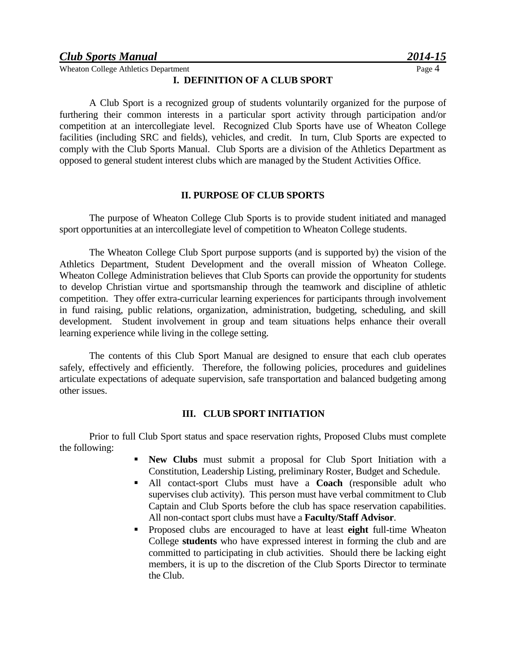#### **I. DEFINITION OF A CLUB SPORT**

A Club Sport is a recognized group of students voluntarily organized for the purpose of furthering their common interests in a particular sport activity through participation and/or competition at an intercollegiate level. Recognized Club Sports have use of Wheaton College facilities (including SRC and fields), vehicles, and credit. In turn, Club Sports are expected to comply with the Club Sports Manual. Club Sports are a division of the Athletics Department as opposed to general student interest clubs which are managed by the Student Activities Office.

#### **II. PURPOSE OF CLUB SPORTS**

The purpose of Wheaton College Club Sports is to provide student initiated and managed sport opportunities at an intercollegiate level of competition to Wheaton College students.

The Wheaton College Club Sport purpose supports (and is supported by) the vision of the Athletics Department, Student Development and the overall mission of Wheaton College. Wheaton College Administration believes that Club Sports can provide the opportunity for students to develop Christian virtue and sportsmanship through the teamwork and discipline of athletic competition. They offer extra-curricular learning experiences for participants through involvement in fund raising, public relations, organization, administration, budgeting, scheduling, and skill development. Student involvement in group and team situations helps enhance their overall learning experience while living in the college setting.

The contents of this Club Sport Manual are designed to ensure that each club operates safely, effectively and efficiently. Therefore, the following policies, procedures and guidelines articulate expectations of adequate supervision, safe transportation and balanced budgeting among other issues.

#### **III. CLUB SPORT INITIATION**

Prior to full Club Sport status and space reservation rights, Proposed Clubs must complete the following:

- **New Clubs** must submit a proposal for Club Sport Initiation with a Constitution, Leadership Listing, preliminary Roster, Budget and Schedule.
- All contact-sport Clubs must have a **Coach** (responsible adult who supervises club activity). This person must have verbal commitment to Club Captain and Club Sports before the club has space reservation capabilities. All non-contact sport clubs must have a **Faculty/Staff Advisor**.
- Proposed clubs are encouraged to have at least **eight** full-time Wheaton College **students** who have expressed interest in forming the club and are committed to participating in club activities. Should there be lacking eight members, it is up to the discretion of the Club Sports Director to terminate the Club.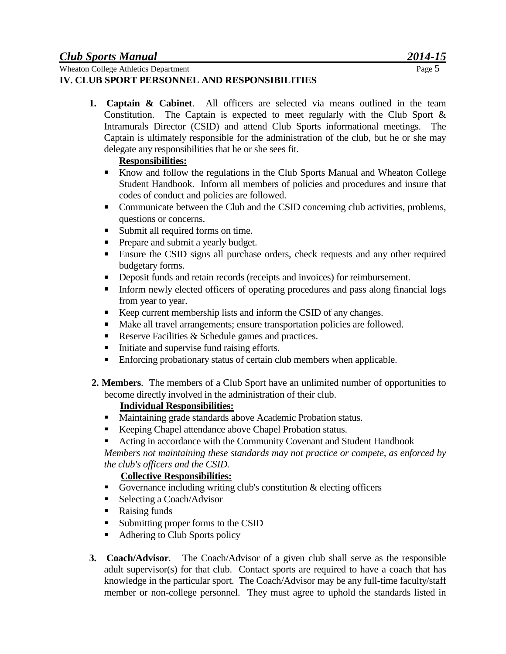**1. Captain & Cabinet**. All officers are selected via means outlined in the team Constitution. The Captain is expected to meet regularly with the Club Sport & Intramurals Director (CSID) and attend Club Sports informational meetings. The Captain is ultimately responsible for the administration of the club, but he or she may delegate any responsibilities that he or she sees fit.

#### **Responsibilities:**

- Know and follow the regulations in the Club Sports Manual and Wheaton College Student Handbook. Inform all members of policies and procedures and insure that codes of conduct and policies are followed.
- Communicate between the Club and the CSID concerning club activities, problems, questions or concerns.
- Submit all required forms on time.
- **Prepare and submit a yearly budget.**
- Ensure the CSID signs all purchase orders, check requests and any other required budgetary forms.
- Deposit funds and retain records (receipts and invoices) for reimbursement.
- Inform newly elected officers of operating procedures and pass along financial logs from year to year.
- Keep current membership lists and inform the CSID of any changes.
- Make all travel arrangements; ensure transportation policies are followed.
- Reserve Facilities & Schedule games and practices.
- Initiate and supervise fund raising efforts.
- **Enforcing probationary status of certain club members when applicable.**
- **2. Members**. The members of a Club Sport have an unlimited number of opportunities to become directly involved in the administration of their club.

#### **Individual Responsibilities:**

- **Maintaining grade standards above Academic Probation status.**
- Keeping Chapel attendance above Chapel Probation status.
- Acting in accordance with the Community Covenant and Student Handbook

*Members not maintaining these standards may not practice or compete, as enforced by the club's officers and the CSID.*

#### **Collective Responsibilities:**

- Governance including writing club's constitution  $\&$  electing officers
- Selecting a Coach/Advisor
- Raising funds
- Submitting proper forms to the CSID
- Adhering to Club Sports policy
- **3. Coach/Advisor**. The Coach/Advisor of a given club shall serve as the responsible adult supervisor(s) for that club. Contact sports are required to have a coach that has knowledge in the particular sport. The Coach/Advisor may be any full-time faculty/staff member or non-college personnel. They must agree to uphold the standards listed in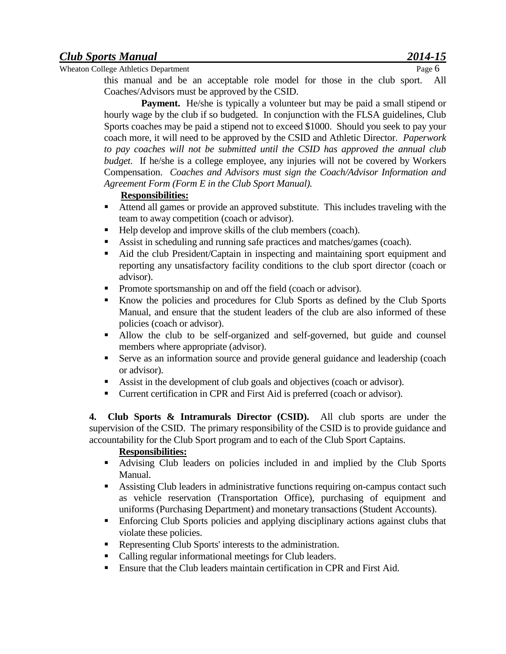Wheaton College Athletics Department Page 6

this manual and be an acceptable role model for those in the club sport. All Coaches/Advisors must be approved by the CSID.

**Payment.** He/she is typically a volunteer but may be paid a small stipend or hourly wage by the club if so budgeted. In conjunction with the FLSA guidelines, Club Sports coaches may be paid a stipend not to exceed \$1000. Should you seek to pay your coach more, it will need to be approved by the CSID and Athletic Director. *Paperwork to pay coaches will not be submitted until the CSID has approved the annual club budget.* If he/she is a college employee, any injuries will not be covered by Workers Compensation. *Coaches and Advisors must sign the Coach/Advisor Information and Agreement Form (Form E in the Club Sport Manual).*

#### **Responsibilities:**

- Attend all games or provide an approved substitute. This includes traveling with the team to away competition (coach or advisor).
- Help develop and improve skills of the club members (coach).
- Assist in scheduling and running safe practices and matches/games (coach).
- Aid the club President/Captain in inspecting and maintaining sport equipment and reporting any unsatisfactory facility conditions to the club sport director (coach or advisor).
- Promote sportsmanship on and off the field (coach or advisor).
- Know the policies and procedures for Club Sports as defined by the Club Sports Manual, and ensure that the student leaders of the club are also informed of these policies (coach or advisor).
- Allow the club to be self-organized and self-governed, but guide and counsel members where appropriate (advisor).
- Serve as an information source and provide general guidance and leadership (coach or advisor).
- Assist in the development of club goals and objectives (coach or advisor).
- Current certification in CPR and First Aid is preferred (coach or advisor).

**4. Club Sports & Intramurals Director (CSID).** All club sports are under the supervision of the CSID. The primary responsibility of the CSID is to provide guidance and accountability for the Club Sport program and to each of the Club Sport Captains.

#### **Responsibilities:**

- Advising Club leaders on policies included in and implied by the Club Sports Manual.
- Assisting Club leaders in administrative functions requiring on-campus contact such as vehicle reservation (Transportation Office), purchasing of equipment and uniforms (Purchasing Department) and monetary transactions (Student Accounts).
- Enforcing Club Sports policies and applying disciplinary actions against clubs that violate these policies.
- Representing Club Sports' interests to the administration.
- Calling regular informational meetings for Club leaders.
- Ensure that the Club leaders maintain certification in CPR and First Aid.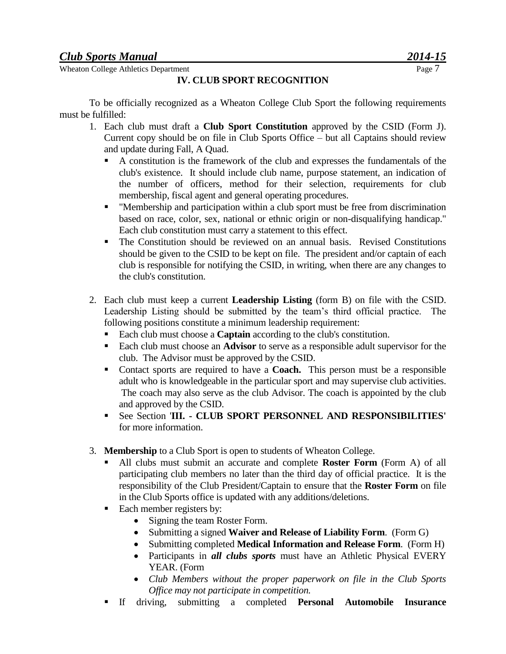Wheaton College Athletics Department Page 7

#### **IV. CLUB SPORT RECOGNITION**

To be officially recognized as a Wheaton College Club Sport the following requirements must be fulfilled:

- 1. Each club must draft a **Club Sport Constitution** approved by the CSID (Form J). Current copy should be on file in Club Sports Office – but all Captains should review and update during Fall, A Quad.
	- A constitution is the framework of the club and expresses the fundamentals of the club's existence. It should include club name, purpose statement, an indication of the number of officers, method for their selection, requirements for club membership, fiscal agent and general operating procedures.
	- "Membership and participation within a club sport must be free from discrimination based on race, color, sex, national or ethnic origin or non-disqualifying handicap." Each club constitution must carry a statement to this effect.
	- The Constitution should be reviewed on an annual basis. Revised Constitutions should be given to the CSID to be kept on file. The president and/or captain of each club is responsible for notifying the CSID, in writing, when there are any changes to the club's constitution.
- 2. Each club must keep a current **Leadership Listing** (form B) on file with the CSID. Leadership Listing should be submitted by the team's third official practice. The following positions constitute a minimum leadership requirement:
	- Each club must choose a **Captain** according to the club's constitution.
	- Each club must choose an **Advisor** to serve as a responsible adult supervisor for the club. The Advisor must be approved by the CSID.
	- Contact sports are required to have a **Coach.** This person must be a responsible adult who is knowledgeable in the particular sport and may supervise club activities. The coach may also serve as the club Advisor. The coach is appointed by the club and approved by the CSID.
	- See Section '**III. - CLUB SPORT PERSONNEL AND RESPONSIBILITIES'**  for more information.
- 3. **Membership** to a Club Sport is open to students of Wheaton College.
	- All clubs must submit an accurate and complete **Roster Form** (Form A) of all participating club members no later than the third day of official practice. It is the responsibility of the Club President/Captain to ensure that the **Roster Form** on file in the Club Sports office is updated with any additions/deletions.
	- Each member registers by:
		- Signing the team Roster Form.
		- Submitting a signed **Waiver and Release of Liability Form**. (Form G)
		- Submitting completed **Medical Information and Release Form**. (Form H)
		- Participants in *all clubs sports* must have an Athletic Physical EVERY YEAR. (Form
		- *Club Members without the proper paperwork on file in the Club Sports Office may not participate in competition.*
	- If driving, submitting a completed **Personal Automobile Insurance**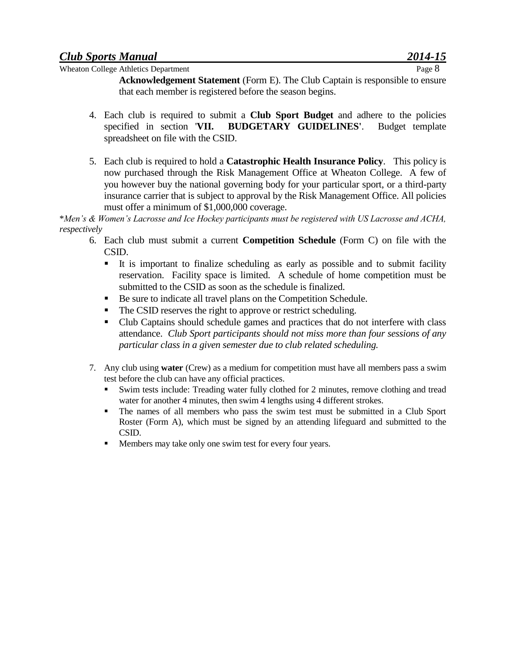**Acknowledgement Statement** (Form E). The Club Captain is responsible to ensure that each member is registered before the season begins.

- 4. Each club is required to submit a **Club Sport Budget** and adhere to the policies specified in section '**VII. BUDGETARY GUIDELINES'**. Budget template spreadsheet on file with the CSID.
- 5. Each club is required to hold a **Catastrophic Health Insurance Policy**. This policy is now purchased through the Risk Management Office at Wheaton College. A few of you however buy the national governing body for your particular sport, or a third-party insurance carrier that is subject to approval by the Risk Management Office. All policies must offer a minimum of \$1,000,000 coverage.

\**Men's & Women's Lacrosse and Ice Hockey participants must be registered with US Lacrosse and ACHA, respectively*

- 6. Each club must submit a current **Competition Schedule** (Form C) on file with the CSID.
	- It is important to finalize scheduling as early as possible and to submit facility reservation. Facility space is limited. A schedule of home competition must be submitted to the CSID as soon as the schedule is finalized.
	- Be sure to indicate all travel plans on the Competition Schedule.
	- The CSID reserves the right to approve or restrict scheduling.
	- Club Captains should schedule games and practices that do not interfere with class attendance. *Club Sport participants should not miss more than four sessions of any particular class in a given semester due to club related scheduling.*
- 7. Any club using **water** (Crew) as a medium for competition must have all members pass a swim test before the club can have any official practices.
	- Swim tests include: Treading water fully clothed for 2 minutes, remove clothing and tread water for another 4 minutes, then swim 4 lengths using 4 different strokes.
	- The names of all members who pass the swim test must be submitted in a Club Sport Roster (Form A), which must be signed by an attending lifeguard and submitted to the CSID.
	- **Members may take only one swim test for every four years.**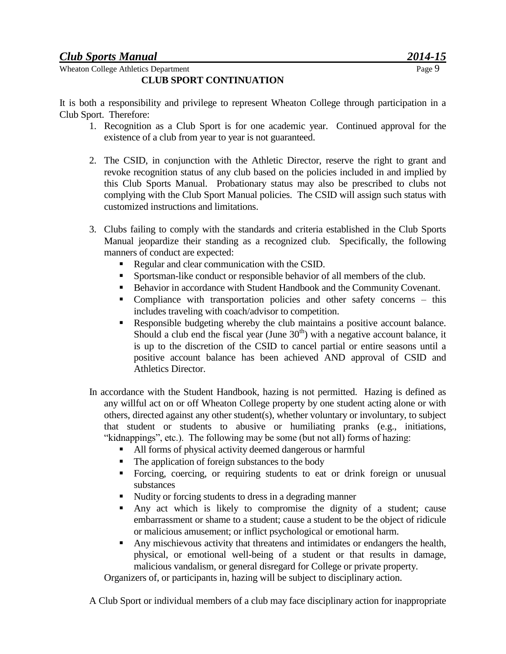#### **CLUB SPORT CONTINUATION**

It is both a responsibility and privilege to represent Wheaton College through participation in a Club Sport. Therefore:

- 1. Recognition as a Club Sport is for one academic year. Continued approval for the existence of a club from year to year is not guaranteed.
- 2. The CSID, in conjunction with the Athletic Director, reserve the right to grant and revoke recognition status of any club based on the policies included in and implied by this Club Sports Manual. Probationary status may also be prescribed to clubs not complying with the Club Sport Manual policies. The CSID will assign such status with customized instructions and limitations.
- 3. Clubs failing to comply with the standards and criteria established in the Club Sports Manual jeopardize their standing as a recognized club. Specifically, the following manners of conduct are expected:
	- Regular and clear communication with the CSID.
	- Sportsman-like conduct or responsible behavior of all members of the club.
	- Behavior in accordance with Student Handbook and the Community Covenant.
	- Compliance with transportation policies and other safety concerns this includes traveling with coach/advisor to competition.
	- Responsible budgeting whereby the club maintains a positive account balance. Should a club end the fiscal year (June  $30<sup>th</sup>$ ) with a negative account balance, it is up to the discretion of the CSID to cancel partial or entire seasons until a positive account balance has been achieved AND approval of CSID and Athletics Director.
- In accordance with the Student Handbook, hazing is not permitted. Hazing is defined as any willful act on or off Wheaton College property by one student acting alone or with others, directed against any other student(s), whether voluntary or involuntary, to subject that student or students to abusive or humiliating pranks (e.g., initiations, "kidnappings", etc.). The following may be some (but not all) forms of hazing:
	- All forms of physical activity deemed dangerous or harmful
	- The application of foreign substances to the body
	- Forcing, coercing, or requiring students to eat or drink foreign or unusual substances
	- Nudity or forcing students to dress in a degrading manner
	- Any act which is likely to compromise the dignity of a student; cause embarrassment or shame to a student; cause a student to be the object of ridicule or malicious amusement; or inflict psychological or emotional harm.
	- Any mischievous activity that threatens and intimidates or endangers the health, physical, or emotional well-being of a student or that results in damage, malicious vandalism, or general disregard for College or private property.

Organizers of, or participants in, hazing will be subject to disciplinary action.

A Club Sport or individual members of a club may face disciplinary action for inappropriate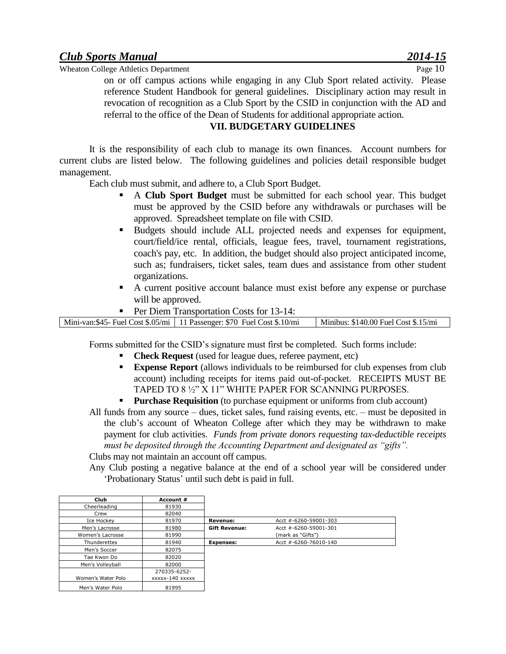on or off campus actions while engaging in any Club Sport related activity. Please reference Student Handbook for general guidelines. Disciplinary action may result in revocation of recognition as a Club Sport by the CSID in conjunction with the AD and referral to the office of the Dean of Students for additional appropriate action.

#### **VII. BUDGETARY GUIDELINES**

It is the responsibility of each club to manage its own finances. Account numbers for current clubs are listed below. The following guidelines and policies detail responsible budget management.

Each club must submit, and adhere to, a Club Sport Budget.

- A **Club Sport Budget** must be submitted for each school year. This budget must be approved by the CSID before any withdrawals or purchases will be approved. Spreadsheet template on file with CSID.
- Budgets should include ALL projected needs and expenses for equipment, court/field/ice rental, officials, league fees, travel, tournament registrations, coach's pay, etc. In addition, the budget should also project anticipated income, such as; fundraisers, ticket sales, team dues and assistance from other student organizations.
- A current positive account balance must exist before any expense or purchase will be approved.
- Per Diem Transportation Costs for 13-14:

| Mini-van:\$45- Fuel Cost \$.05/mi   11 Passenger: \$70 Fuel Cost \$.10/mi | $\mid$ Minibus: \$140.00 Fuel Cost \$.15/mi |
|---------------------------------------------------------------------------|---------------------------------------------|

Forms submitted for the CSID's signature must first be completed. Such forms include:

- **Check Request** (used for league dues, referee payment, etc)
- **Expense Report** (allows individuals to be reimbursed for club expenses from club account) including receipts for items paid out-of-pocket. RECEIPTS MUST BE TAPED TO 8 ½" X 11" WHITE PAPER FOR SCANNING PURPOSES.
- **Purchase Requisition** (to purchase equipment or uniforms from club account)

All funds from any source – dues, ticket sales, fund raising events, etc. – must be deposited in the club's account of Wheaton College after which they may be withdrawn to make payment for club activities. *Funds from private donors requesting tax-deductible receipts must be deposited through the Accounting Department and designated as "gifts".*

Clubs may not maintain an account off campus.

Any Club posting a negative balance at the end of a school year will be considered under 'Probationary Status' until such debt is paid in full.

| Club               | Account #       |                      |                               |  |
|--------------------|-----------------|----------------------|-------------------------------|--|
| Cheerleading       | 81930           |                      |                               |  |
| Crew               | 82040           |                      |                               |  |
| Ice Hockey         | 81970           | <b>Revenue:</b>      | Acct #-6260-59001-303         |  |
| Men's Lacrosse     | 81980           | <b>Gift Revenue:</b> | Acct $\# -6260 - 59001 - 301$ |  |
| Women's Lacrosse   | 81990           |                      | (mark as "Gifts")             |  |
| Thunderettes       | 81940           | <b>Expenses:</b>     | Acct #-6260-76010-140         |  |
| Men's Soccer       | 82075           |                      |                               |  |
| Tae Kwon Do        | 82020           |                      |                               |  |
| Men's Vollevball   | 82000           |                      |                               |  |
|                    | 270335-6252-    |                      |                               |  |
| Women's Water Polo | xxxxx-140 xxxxx |                      |                               |  |
| Men's Water Polo   | 81995           |                      |                               |  |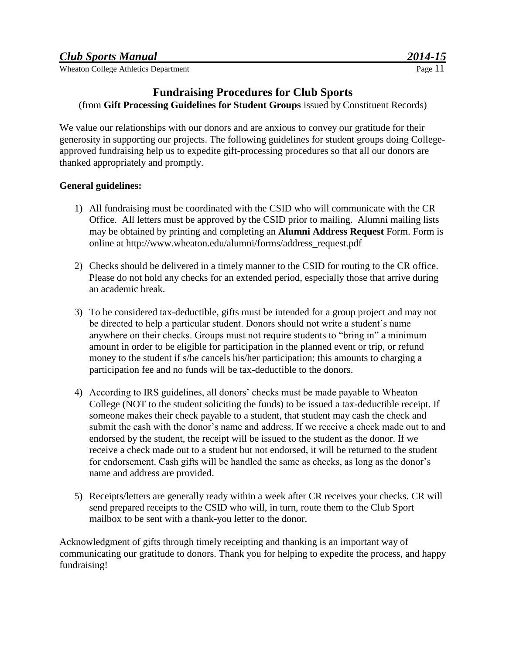#### **Fundraising Procedures for Club Sports**

(from **Gift Processing Guidelines for Student Groups** issued by Constituent Records)

We value our relationships with our donors and are anxious to convey our gratitude for their generosity in supporting our projects. The following guidelines for student groups doing Collegeapproved fundraising help us to expedite gift-processing procedures so that all our donors are thanked appropriately and promptly.

#### **General guidelines:**

- 1) All fundraising must be coordinated with the CSID who will communicate with the CR Office. All letters must be approved by the CSID prior to mailing. Alumni mailing lists may be obtained by printing and completing an **Alumni Address Request** Form. Form is online at [http://www.wheaton.edu/alumni/forms/address\\_request.pdf](https://form.jotform.com/WheatonCollegeForms/emailrequestform)
- 2) Checks should be delivered in a timely manner to the CSID for routing to the CR office. Please do not hold any checks for an extended period, especially those that arrive during an academic break.
- 3) To be considered tax-deductible, gifts must be intended for a group project and may not be directed to help a particular student. Donors should not write a student's name anywhere on their checks. Groups must not require students to "bring in" a minimum amount in order to be eligible for participation in the planned event or trip, or refund money to the student if s/he cancels his/her participation; this amounts to charging a participation fee and no funds will be tax-deductible to the donors.
- 4) According to IRS guidelines, all donors' checks must be made payable to Wheaton College (NOT to the student soliciting the funds) to be issued a tax-deductible receipt. If someone makes their check payable to a student, that student may cash the check and submit the cash with the donor's name and address. If we receive a check made out to and endorsed by the student, the receipt will be issued to the student as the donor. If we receive a check made out to a student but not endorsed, it will be returned to the student for endorsement. Cash gifts will be handled the same as checks, as long as the donor's name and address are provided.
- 5) Receipts/letters are generally ready within a week after CR receives your checks. CR will send prepared receipts to the CSID who will, in turn, route them to the Club Sport mailbox to be sent with a thank-you letter to the donor.

Acknowledgment of gifts through timely receipting and thanking is an important way of communicating our gratitude to donors. Thank you for helping to expedite the process, and happy fundraising!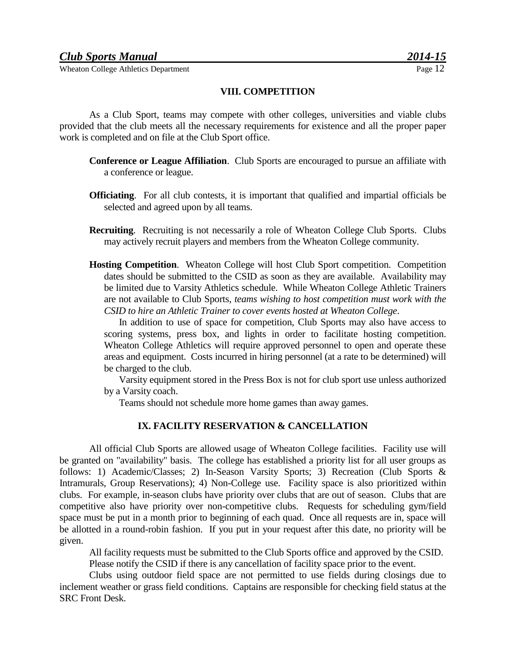#### **VIII. COMPETITION**

As a Club Sport, teams may compete with other colleges, universities and viable clubs provided that the club meets all the necessary requirements for existence and all the proper paper work is completed and on file at the Club Sport office.

- **Conference or League Affiliation**. Club Sports are encouraged to pursue an affiliate with a conference or league.
- **Officiating**. For all club contests, it is important that qualified and impartial officials be selected and agreed upon by all teams.
- **Recruiting**. Recruiting is not necessarily a role of Wheaton College Club Sports. Clubs may actively recruit players and members from the Wheaton College community.
- **Hosting Competition**. Wheaton College will host Club Sport competition. Competition dates should be submitted to the CSID as soon as they are available. Availability may be limited due to Varsity Athletics schedule. While Wheaton College Athletic Trainers are not available to Club Sports, *teams wishing to host competition must work with the CSID to hire an Athletic Trainer to cover events hosted at Wheaton College*.

In addition to use of space for competition, Club Sports may also have access to scoring systems, press box, and lights in order to facilitate hosting competition. Wheaton College Athletics will require approved personnel to open and operate these areas and equipment. Costs incurred in hiring personnel (at a rate to be determined) will be charged to the club.

Varsity equipment stored in the Press Box is not for club sport use unless authorized by a Varsity coach.

Teams should not schedule more home games than away games.

#### **IX. FACILITY RESERVATION & CANCELLATION**

All official Club Sports are allowed usage of Wheaton College facilities. Facility use will be granted on "availability" basis. The college has established a priority list for all user groups as follows: 1) Academic/Classes; 2) In-Season Varsity Sports; 3) Recreation (Club Sports & Intramurals, Group Reservations); 4) Non-College use. Facility space is also prioritized within clubs. For example, in-season clubs have priority over clubs that are out of season. Clubs that are competitive also have priority over non-competitive clubs. Requests for scheduling gym/field space must be put in a month prior to beginning of each quad. Once all requests are in, space will be allotted in a round-robin fashion. If you put in your request after this date, no priority will be given.

All facility requests must be submitted to the Club Sports office and approved by the CSID. Please notify the CSID if there is any cancellation of facility space prior to the event.

Clubs using outdoor field space are not permitted to use fields during closings due to inclement weather or grass field conditions. Captains are responsible for checking field status at the SRC Front Desk.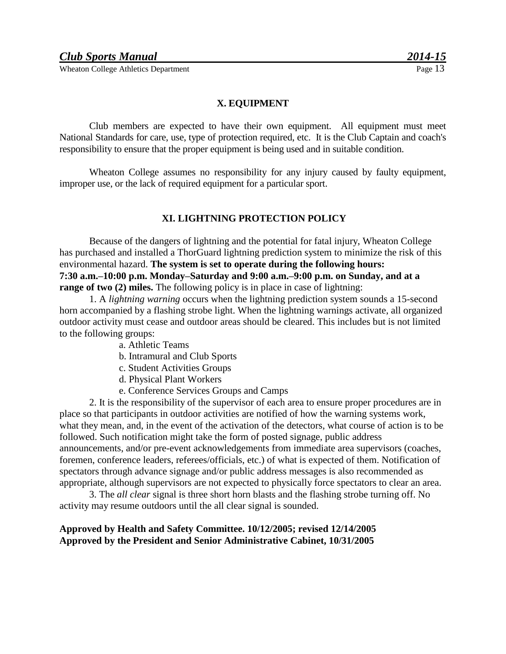#### **X. EQUIPMENT**

Club members are expected to have their own equipment. All equipment must meet National Standards for care, use, type of protection required, etc. It is the Club Captain and coach's responsibility to ensure that the proper equipment is being used and in suitable condition.

Wheaton College assumes no responsibility for any injury caused by faulty equipment, improper use, or the lack of required equipment for a particular sport.

#### **XI. LIGHTNING PROTECTION POLICY**

Because of the dangers of lightning and the potential for fatal injury, Wheaton College has purchased and installed a ThorGuard lightning prediction system to minimize the risk of this environmental hazard. **The system is set to operate during the following hours: 7:30 a.m.–10:00 p.m. Monday–Saturday and 9:00 a.m.–9:00 p.m. on Sunday, and at a range of two (2) miles.** The following policy is in place in case of lightning:

1. A *lightning warning* occurs when the lightning prediction system sounds a 15-second horn accompanied by a flashing strobe light. When the lightning warnings activate, all organized outdoor activity must cease and outdoor areas should be cleared. This includes but is not limited to the following groups:

- a. Athletic Teams
- b. Intramural and Club Sports
- c. Student Activities Groups
- d. Physical Plant Workers
- e. Conference Services Groups and Camps

2. It is the responsibility of the supervisor of each area to ensure proper procedures are in place so that participants in outdoor activities are notified of how the warning systems work, what they mean, and, in the event of the activation of the detectors, what course of action is to be followed. Such notification might take the form of posted signage, public address announcements, and/or pre-event acknowledgements from immediate area supervisors (coaches, foremen, conference leaders, referees/officials, etc.) of what is expected of them. Notification of spectators through advance signage and/or public address messages is also recommended as appropriate, although supervisors are not expected to physically force spectators to clear an area.

3. The *all clear* signal is three short horn blasts and the flashing strobe turning off. No activity may resume outdoors until the all clear signal is sounded.

#### **Approved by Health and Safety Committee. 10/12/2005; revised 12/14/2005 Approved by the President and Senior Administrative Cabinet, 10/31/2005**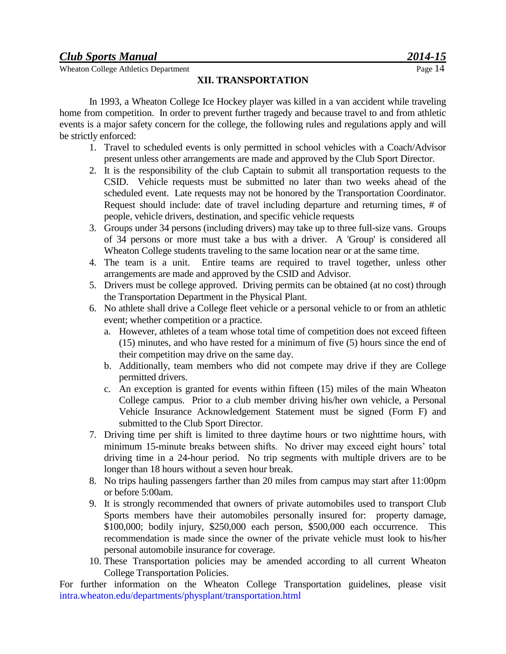**XII. TRANSPORTATION**

In 1993, a Wheaton College Ice Hockey player was killed in a van accident while traveling home from competition. In order to prevent further tragedy and because travel to and from athletic events is a major safety concern for the college, the following rules and regulations apply and will be strictly enforced:

- 1. Travel to scheduled events is only permitted in school vehicles with a Coach/Advisor present unless other arrangements are made and approved by the Club Sport Director.
- 2. It is the responsibility of the club Captain to submit all transportation requests to the CSID. Vehicle requests must be submitted no later than two weeks ahead of the scheduled event. Late requests may not be honored by the Transportation Coordinator. Request should include: date of travel including departure and returning times, # of people, vehicle drivers, destination, and specific vehicle requests
- 3. Groups under 34 persons (including drivers) may take up to three full-size vans. Groups of 34 persons or more must take a bus with a driver. A 'Group' is considered all Wheaton College students traveling to the same location near or at the same time.
- 4. The team is a unit. Entire teams are required to travel together, unless other arrangements are made and approved by the CSID and Advisor.
- 5. Drivers must be college approved. Driving permits can be obtained (at no cost) through the Transportation Department in the Physical Plant.
- 6. No athlete shall drive a College fleet vehicle or a personal vehicle to or from an athletic event; whether competition or a practice.
	- a. However, athletes of a team whose total time of competition does not exceed fifteen (15) minutes, and who have rested for a minimum of five (5) hours since the end of their competition may drive on the same day.
	- b. Additionally, team members who did not compete may drive if they are College permitted drivers.
	- c. An exception is granted for events within fifteen (15) miles of the main Wheaton College campus. Prior to a club member driving his/her own vehicle, a Personal Vehicle Insurance Acknowledgement Statement must be signed (Form F) and submitted to the Club Sport Director.
- 7. Driving time per shift is limited to three daytime hours or two nighttime hours, with minimum 15-minute breaks between shifts. No driver may exceed eight hours' total driving time in a 24-hour period. No trip segments with multiple drivers are to be longer than 18 hours without a seven hour break.
- 8. No trips hauling passengers farther than 20 miles from campus may start after 11:00pm or before 5:00am.
- 9. It is strongly recommended that owners of private automobiles used to transport Club Sports members have their automobiles personally insured for: property damage, \$100,000; bodily injury, \$250,000 each person, \$500,000 each occurrence. This recommendation is made since the owner of the private vehicle must look to his/her personal automobile insurance for coverage.
- 10. These Transportation policies may be amended according to all current Wheaton College Transportation Policies.

For further information on the Wheaton College Transportation guidelines, please visit intra.wheaton.edu/departments/physplant/transportation.html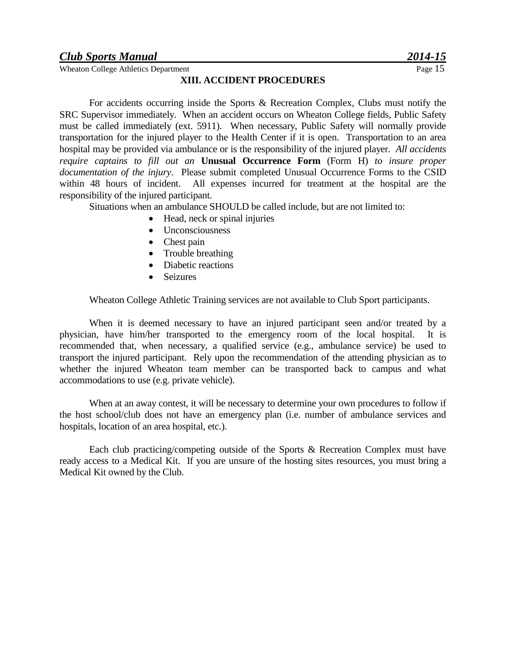Wheaton College Athletics Department Page 15

#### **XIII. ACCIDENT PROCEDURES**

For accidents occurring inside the Sports & Recreation Complex, Clubs must notify the SRC Supervisor immediately. When an accident occurs on Wheaton College fields, Public Safety must be called immediately (ext. 5911). When necessary, Public Safety will normally provide transportation for the injured player to the Health Center if it is open. Transportation to an area hospital may be provided via ambulance or is the responsibility of the injured player*. All accidents require captains to fill out an* **Unusual Occurrence Form** (Form H) *to insure proper documentation of the injury*. Please submit completed Unusual Occurrence Forms to the CSID within 48 hours of incident. All expenses incurred for treatment at the hospital are the responsibility of the injured participant.

Situations when an ambulance SHOULD be called include, but are not limited to:

- Head, neck or spinal injuries
- Unconsciousness
- Chest pain
- Trouble breathing
- Diabetic reactions
- Seizures

Wheaton College Athletic Training services are not available to Club Sport participants.

When it is deemed necessary to have an injured participant seen and/or treated by a physician, have him/her transported to the emergency room of the local hospital. It is recommended that, when necessary, a qualified service (e.g., ambulance service) be used to transport the injured participant. Rely upon the recommendation of the attending physician as to whether the injured Wheaton team member can be transported back to campus and what accommodations to use (e.g. private vehicle).

When at an away contest, it will be necessary to determine your own procedures to follow if the host school/club does not have an emergency plan (i.e. number of ambulance services and hospitals, location of an area hospital, etc.).

Each club practicing/competing outside of the Sports & Recreation Complex must have ready access to a Medical Kit. If you are unsure of the hosting sites resources, you must bring a Medical Kit owned by the Club.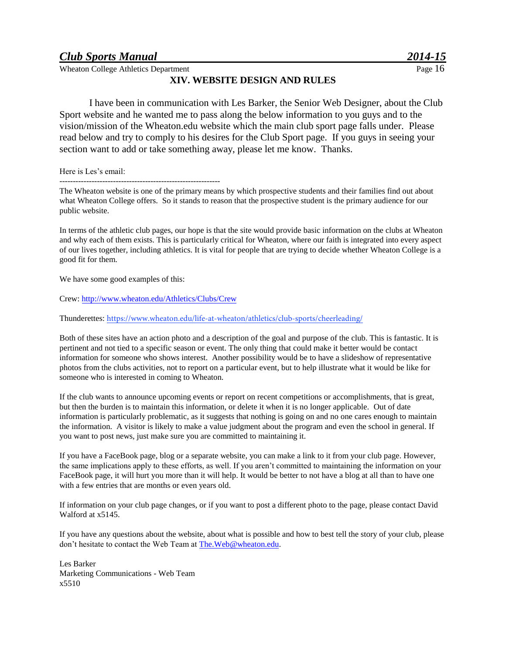#### *Club Sports Manual*

Wheaton College Athletics Department

#### **XIV. WEBSITE DESIGN AND RULES**

I have been in communication with Les Barker, the Senior Web Designer, about the Club Sport website and he wanted me to pass along the below information to you guys and to the vision/mission of the Wheaton.edu website which the main club sport page falls under. Please read below and try to comply to his desires for the Club Sport page. If you guys in seeing your section want to add or take something away, please let me know. Thanks.

Here is Les's email:

------------------------------------------------------------

The Wheaton website is one of the primary means by which prospective students and their families find out about what Wheaton College offers. So it stands to reason that the prospective student is the primary audience for our public website.

In terms of the athletic club pages, our hope is that the site would provide basic information on the clubs at Wheaton and why each of them exists. This is particularly critical for Wheaton, where our faith is integrated into every aspect of our lives together, including athletics. It is vital for people that are trying to decide whether Wheaton College is a good fit for them.

We have some good examples of this:

Crew[: http://www.wheaton.edu/Athletics/Clubs/Crew](http://www.wheaton.edu/Athletics/Clubs/Crew) 

Thunderettes: <https://www.wheaton.edu/life-at-wheaton/athletics/club-sports/cheerleading/>

Both of these sites have an action photo and a description of the goal and purpose of the club. This is fantastic. It is pertinent and not tied to a specific season or event. The only thing that could make it better would be contact information for someone who shows interest. Another possibility would be to have a slideshow of representative photos from the clubs activities, not to report on a particular event, but to help illustrate what it would be like for someone who is interested in coming to Wheaton.

If the club wants to announce upcoming events or report on recent competitions or accomplishments, that is great, but then the burden is to maintain this information, or delete it when it is no longer applicable. Out of date information is particularly problematic, as it suggests that nothing is going on and no one cares enough to maintain the information. A visitor is likely to make a value judgment about the program and even the school in general. If you want to post news, just make sure you are committed to maintaining it.

If you have a FaceBook page, blog or a separate website, you can make a link to it from your club page. However, the same implications apply to these efforts, as well. If you aren't committed to maintaining the information on your FaceBook page, it will hurt you more than it will help. It would be better to not have a blog at all than to have one with a few entries that are months or even years old.

If information on your club page changes, or if you want to post a different photo to the page, please contact David Walford at x5145.

If you have any questions about the website, about what is possible and how to best tell the story of your club, please don't hesitate to contact the Web Team a[t The.Web@wheaton.edu.](The.Web@wheaton.edu)

Les Barker Marketing Communications - Web Team x5510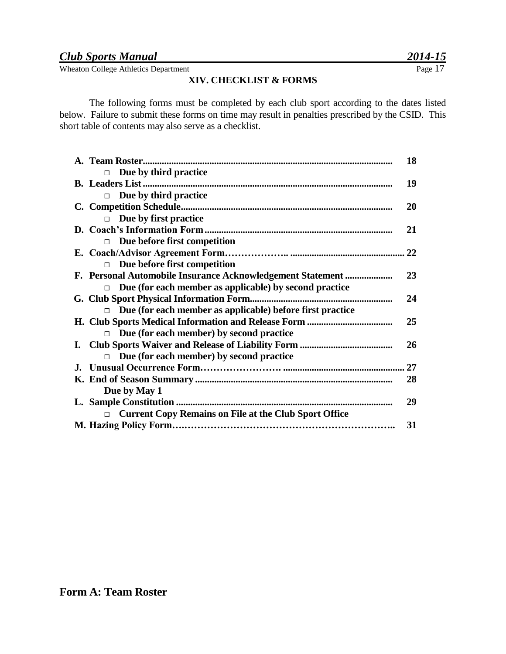Wheaton College Athletics Department Page 17

#### **XIV. CHECKLIST & FORMS**

The following forms must be completed by each club sport according to the dates listed below. Failure to submit these forms on time may result in penalties prescribed by the CSID. This short table of contents may also serve as a checklist.

|                                                                    | 18 |
|--------------------------------------------------------------------|----|
| Due by third practice<br>П                                         |    |
|                                                                    | 19 |
| Due by third practice<br>$\Box$                                    |    |
|                                                                    | 20 |
| Due by first practice<br>$\Box$                                    |    |
|                                                                    | 21 |
| Due before first competition<br>$\Box$                             |    |
|                                                                    |    |
| Due before first competition<br>$\Box$                             |    |
| F. Personal Automobile Insurance Acknowledgement Statement         | 23 |
| Due (for each member as applicable) by second practice<br>П.       |    |
|                                                                    | 24 |
| Due (for each member as applicable) before first practice<br>П     |    |
|                                                                    | 25 |
| Due (for each member) by second practice<br>$\Box$                 |    |
|                                                                    | 26 |
| Due (for each member) by second practice<br>$\Box$                 |    |
|                                                                    | 27 |
|                                                                    | 28 |
| Due by May 1                                                       |    |
|                                                                    | 29 |
| <b>Current Copy Remains on File at the Club Sport Office</b><br>П. |    |
|                                                                    | 31 |
|                                                                    |    |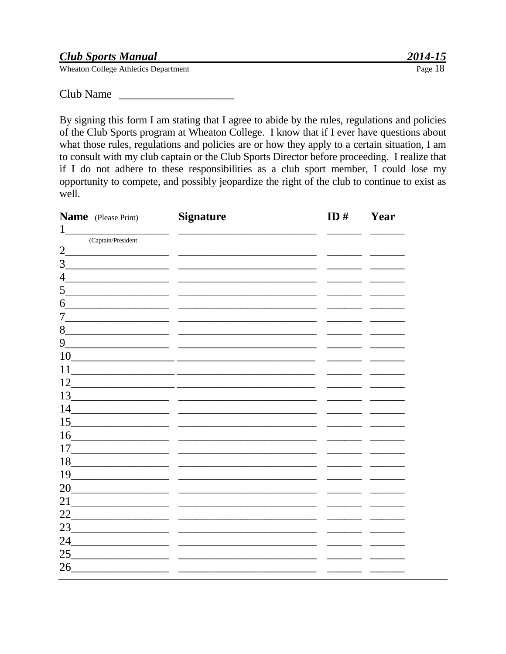|  | <b>Club Sports Manual</b> |
|--|---------------------------|
|  |                           |

Club Name

By signing this form I am stating that I agree to abide by the rules, regulations and policies of the Club Sports program at Wheaton College. I know that if I ever have questions about what those rules, regulations and policies are or how they apply to a certain situation, I am to consult with my club captain or the Club Sports Director before proceeding. I realize that if I do not adhere to these responsibilities as a club sport member, I could lose my opportunity to compete, and possibly jeopardize the right of the club to continue to exist as well.

| <b>Name</b> (Please Print)                                                                                                   | <b>Signature</b> | ID# | Year |
|------------------------------------------------------------------------------------------------------------------------------|------------------|-----|------|
| 1                                                                                                                            |                  |     |      |
| (Captain/President<br>$\overline{2}$                                                                                         |                  |     |      |
| 3                                                                                                                            |                  |     |      |
| $\overline{4}$                                                                                                               |                  |     |      |
| 5                                                                                                                            |                  |     |      |
|                                                                                                                              |                  |     |      |
| 6<br><u> 1989 - Johann Barn, mars ann an t-</u>                                                                              |                  |     |      |
| $7-$                                                                                                                         |                  |     |      |
| 8<br>the control of the control of the control of                                                                            |                  |     |      |
| 9<br>the control of the control of the control of                                                                            |                  |     |      |
| 10                                                                                                                           |                  |     |      |
| 11                                                                                                                           |                  |     |      |
| 12<br><u> 1989 - Johann John Harry Harry Harry Harry Harry Harry Harry Harry Harry Harry Harry Harry Harry Harry Harry H</u> |                  |     |      |
| 13                                                                                                                           |                  |     |      |
| 14                                                                                                                           |                  |     |      |
| 15<br><u> 1989 - Jan James James James James James James James James James James James James James James James James Ja</u>  |                  |     |      |
| 16                                                                                                                           |                  |     |      |
| 17                                                                                                                           |                  |     |      |
| 18                                                                                                                           |                  |     |      |
| 19                                                                                                                           |                  |     |      |
| 20<br>the company of the company of the company                                                                              |                  |     |      |
| 21                                                                                                                           |                  |     |      |
| 22                                                                                                                           |                  |     |      |
| 23                                                                                                                           |                  |     |      |
| 24<br><u> 1980 - Jan Amerikaans III (m. 1980)</u>                                                                            |                  |     |      |
| 25                                                                                                                           |                  |     |      |
| 26                                                                                                                           |                  |     |      |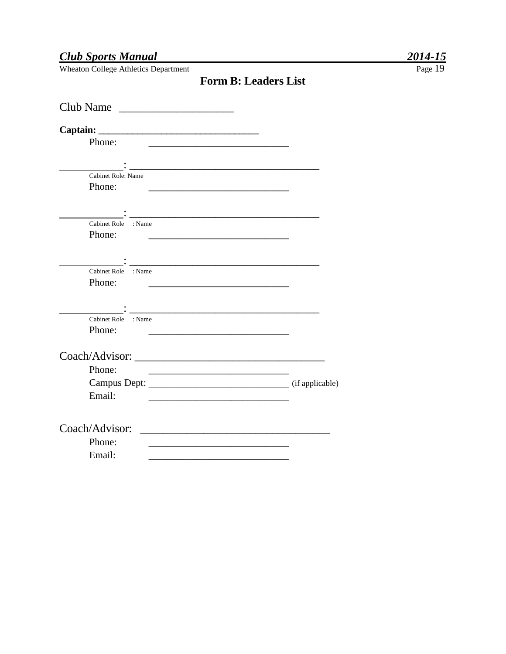Wheaton College Athletics Department

| Club Name                                                                                                                       |                                                                                                                                                                                                                                      |
|---------------------------------------------------------------------------------------------------------------------------------|--------------------------------------------------------------------------------------------------------------------------------------------------------------------------------------------------------------------------------------|
|                                                                                                                                 |                                                                                                                                                                                                                                      |
| Phone:                                                                                                                          |                                                                                                                                                                                                                                      |
|                                                                                                                                 |                                                                                                                                                                                                                                      |
| Cabinet Role: Name                                                                                                              |                                                                                                                                                                                                                                      |
| Phone:                                                                                                                          | <u> 2001 - Jan Bernard Bernard Bernard Bernard Bernard Bernard Bernard Bernard Bernard Bernard Bernard Bernard B</u>                                                                                                                 |
|                                                                                                                                 |                                                                                                                                                                                                                                      |
| Cabinet Role : Name                                                                                                             | <u> 1980 - Jan James James Jan James James James James James James James James James James James James James James Ja</u>                                                                                                            |
| Phone:                                                                                                                          | <u> 2002 - Jan James James Jan James James James James James James James James James James James James James Jam</u>                                                                                                                 |
|                                                                                                                                 |                                                                                                                                                                                                                                      |
|                                                                                                                                 |                                                                                                                                                                                                                                      |
| Cabinet Role : Name<br>Phone:                                                                                                   |                                                                                                                                                                                                                                      |
|                                                                                                                                 | <u> 1980 - Johann John Harry Harry Harry Harry Harry Harry Harry Harry Harry Harry Harry Harry Harry Harry Harry Harry Harry Harry Harry Harry Harry Harry Harry Harry Harry Harry Harry Harry Harry Harry Harry Harry Harry Har</u> |
| <u> 1989 - Johann John Stone, markin fan it ferskearre fan it ferskearre fan it ferskearre fan it ferskearre fan </u>           |                                                                                                                                                                                                                                      |
| Cabinet Role : Name                                                                                                             |                                                                                                                                                                                                                                      |
| Phone:<br><u> 1990 - Johann Stein, marwolaethau a bhann an t-Amhainn an t-Amhainn an t-Amhainn an t-Amhainn an t-Amhainn an</u> |                                                                                                                                                                                                                                      |
|                                                                                                                                 |                                                                                                                                                                                                                                      |
| Phone:                                                                                                                          |                                                                                                                                                                                                                                      |
|                                                                                                                                 |                                                                                                                                                                                                                                      |
| Email:                                                                                                                          | <u> 1980 - Johann John Stone, mars eta biztanleria (h. 1980).</u>                                                                                                                                                                    |
|                                                                                                                                 |                                                                                                                                                                                                                                      |
| Coach/Advisor:                                                                                                                  | <u> 1980 - Johann Stoff, fransk politik (d. 1980)</u>                                                                                                                                                                                |
| Phone:                                                                                                                          | <u> 1980 - Johann John Stone, market fransk politiker (</u>                                                                                                                                                                          |
| Email:                                                                                                                          |                                                                                                                                                                                                                                      |
|                                                                                                                                 |                                                                                                                                                                                                                                      |

**Form B: Leaders List**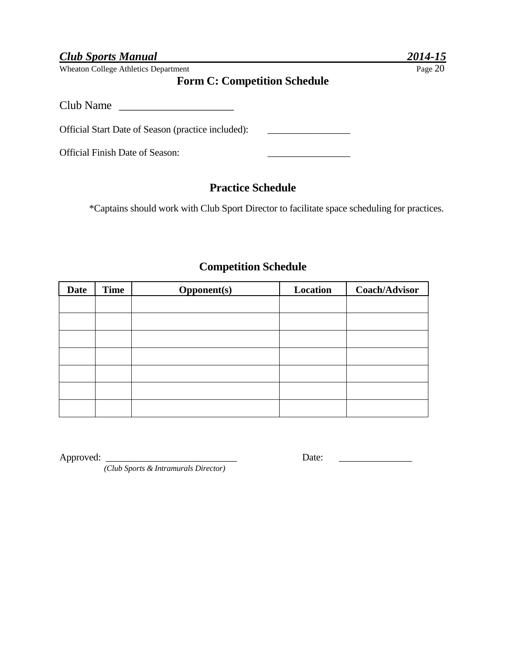Wheaton College Athletics Department Page 20

#### **Form C: Competition Schedule**

Club Name

Official Start Date of Season (practice included): \_\_\_\_\_\_\_\_\_\_\_\_\_\_\_\_\_\_\_\_\_\_\_\_\_\_\_\_\_

Official Finish Date of Season: \_\_\_\_\_\_\_\_\_\_\_\_\_\_\_\_\_

#### **Practice Schedule**

\*Captains should work with Club Sport Director to facilitate space scheduling for practices.

#### **Competition Schedule**

| <b>Date</b> | <b>Time</b> | <b>Opponent(s)</b> | Location | <b>Coach/Advisor</b> |
|-------------|-------------|--------------------|----------|----------------------|
|             |             |                    |          |                      |
|             |             |                    |          |                      |
|             |             |                    |          |                      |
|             |             |                    |          |                      |
|             |             |                    |          |                      |
|             |             |                    |          |                      |
|             |             |                    |          |                      |

Approved: \_\_\_\_\_\_\_\_\_\_\_\_\_\_\_\_\_\_\_\_\_\_\_\_\_\_\_ Date: \_\_\_\_\_\_\_\_\_\_\_\_\_\_\_

*(Club Sports & Intramurals Director)*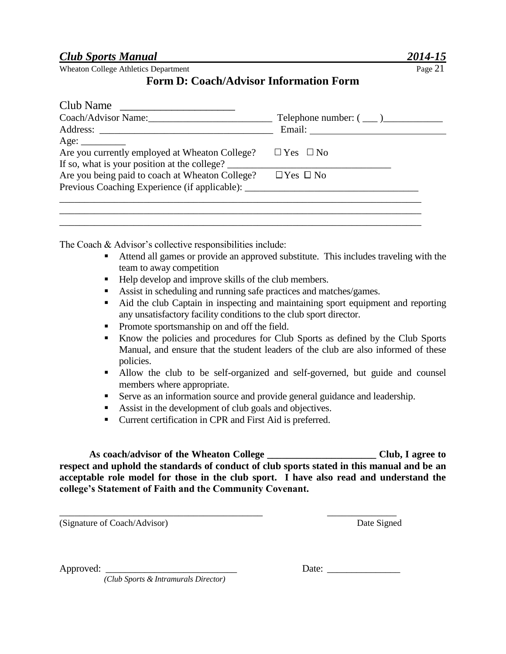#### **Form D: Coach/Advisor Information Form**

| Club Name                                       |                            |
|-------------------------------------------------|----------------------------|
| Coach/Advisor Name:                             | Telephone number: $(\_\_)$ |
|                                                 |                            |
| Age: $\_\_$                                     |                            |
| Are you currently employed at Wheaton College?  | $\Box$ Yes $\Box$ No       |
| If so, what is your position at the college?    |                            |
| Are you being paid to coach at Wheaton College? | $\Box$ Yes $\Box$ No       |
| Previous Coaching Experience (if applicable):   |                            |
|                                                 |                            |
|                                                 |                            |

The Coach & Advisor's collective responsibilities include:

- Attend all games or provide an approved substitute. This includes traveling with the team to away competition
- Help develop and improve skills of the club members.
- Assist in scheduling and running safe practices and matches/games.

\_\_\_\_\_\_\_\_\_\_\_\_\_\_\_\_\_\_\_\_\_\_\_\_\_\_\_\_\_\_\_\_\_\_\_\_\_\_\_\_\_\_\_\_\_\_\_\_\_\_\_\_\_\_\_\_\_\_\_\_\_\_\_\_\_\_\_\_\_\_\_\_\_

- Aid the club Captain in inspecting and maintaining sport equipment and reporting any unsatisfactory facility conditions to the club sport director.
- Promote sportsmanship on and off the field.
- Know the policies and procedures for Club Sports as defined by the Club Sports Manual, and ensure that the student leaders of the club are also informed of these policies.
- Allow the club to be self-organized and self-governed, but guide and counsel members where appropriate.
- Serve as an information source and provide general guidance and leadership.
- Assist in the development of club goals and objectives.
- Current certification in CPR and First Aid is preferred.

\_\_\_\_\_\_\_\_\_\_\_\_\_\_\_\_\_\_\_\_\_\_\_\_\_\_\_\_\_\_\_\_\_\_\_\_\_\_\_\_\_ \_\_\_\_\_\_\_\_\_\_\_\_\_\_

**As coach/advisor of the Wheaton College \_\_\_\_\_\_\_\_\_\_\_\_\_\_\_\_\_\_\_\_\_\_ Club, I agree to respect and uphold the standards of conduct of club sports stated in this manual and be an acceptable role model for those in the club sport. I have also read and understand the college's Statement of Faith and the Community Covenant.**

(Signature of Coach/Advisor) Date Signed

Approved: \_\_\_\_\_\_\_\_\_\_\_\_\_\_\_\_\_\_\_\_\_\_\_\_\_\_\_ Date: \_\_\_\_\_\_\_\_\_\_\_\_\_\_\_

*(Club Sports & Intramurals Director)*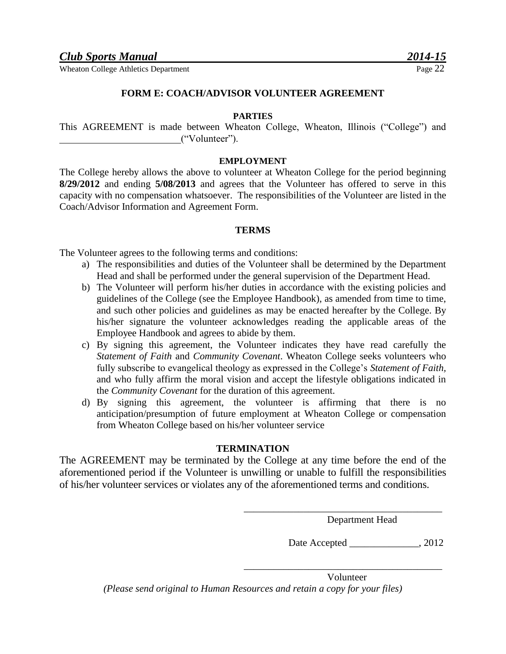#### **FORM E: COACH/ADVISOR VOLUNTEER AGREEMENT**

#### **PARTIES**

This AGREEMENT is made between Wheaton College, Wheaton, Illinois ("College") and ("Volunteer").

#### **EMPLOYMENT**

The College hereby allows the above to volunteer at Wheaton College for the period beginning **8/29/2012** and ending **5/08/2013** and agrees that the Volunteer has offered to serve in this capacity with no compensation whatsoever. The responsibilities of the Volunteer are listed in the Coach/Advisor Information and Agreement Form.

#### **TERMS**

The Volunteer agrees to the following terms and conditions:

- a) The responsibilities and duties of the Volunteer shall be determined by the Department Head and shall be performed under the general supervision of the Department Head.
- b) The Volunteer will perform his/her duties in accordance with the existing policies and guidelines of the College (see the Employee Handbook), as amended from time to time, and such other policies and guidelines as may be enacted hereafter by the College. By his/her signature the volunteer acknowledges reading the applicable areas of the Employee Handbook and agrees to abide by them.
- c) By signing this agreement, the Volunteer indicates they have read carefully the *Statement of Faith* and *Community Covenant*. Wheaton College seeks volunteers who fully subscribe to evangelical theology as expressed in the College's *Statement of Faith,* and who fully affirm the moral vision and accept the lifestyle obligations indicated in the *Community Covenant* for the duration of this agreement.
- d) By signing this agreement, the volunteer is affirming that there is no anticipation/presumption of future employment at Wheaton College or compensation from Wheaton College based on his/her volunteer service

#### **TERMINATION**

The AGREEMENT may be terminated by the College at any time before the end of the aforementioned period if the Volunteer is unwilling or unable to fulfill the responsibilities of his/her volunteer services or violates any of the aforementioned terms and conditions.

Department Head

\_\_\_\_\_\_\_\_\_\_\_\_\_\_\_\_\_\_\_\_\_\_\_\_\_\_\_\_\_\_\_\_\_\_\_\_\_\_\_\_

\_\_\_\_\_\_\_\_\_\_\_\_\_\_\_\_\_\_\_\_\_\_\_\_\_\_\_\_\_\_\_\_\_\_\_\_\_\_\_\_

Date Accepted \_\_\_\_\_\_\_\_\_\_\_\_\_\_\_\_\_\_, 2012

Volunteer *(Please send original to Human Resources and retain a copy for your files)*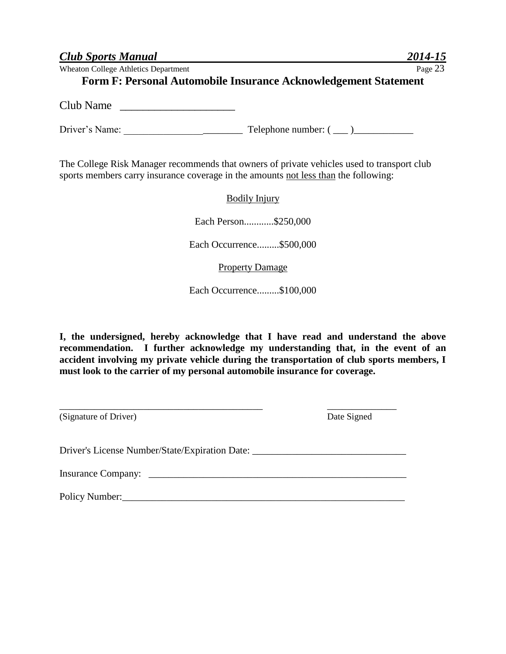| <b>Club Sports Manual</b>                                                           | 2014-15                                                                                    |
|-------------------------------------------------------------------------------------|--------------------------------------------------------------------------------------------|
| <b>Wheaton College Athletics Department</b>                                         | Page 23                                                                                    |
|                                                                                     | <b>Form F: Personal Automobile Insurance Acknowledgement Statement</b>                     |
| Club Name                                                                           |                                                                                            |
|                                                                                     |                                                                                            |
| sports members carry insurance coverage in the amounts not less than the following: | The College Risk Manager recommends that owners of private vehicles used to transport club |
|                                                                                     | <b>Bodily Injury</b>                                                                       |
|                                                                                     | Each Person\$250,000                                                                       |
|                                                                                     | Each Occurrence\$500,000                                                                   |
|                                                                                     | <b>Property Damage</b>                                                                     |
|                                                                                     | Each Occurrence\$100,000                                                                   |
|                                                                                     |                                                                                            |

**I, the undersigned, hereby acknowledge that I have read and understand the above recommendation. I further acknowledge my understanding that, in the event of an accident involving my private vehicle during the transportation of club sports members, I must look to the carrier of my personal automobile insurance for coverage.**

| (Signature of Driver)                                                            | Date Signed |
|----------------------------------------------------------------------------------|-------------|
| Driver's License Number/State/Expiration Date: _________________________________ |             |
|                                                                                  |             |
| Policy Number:                                                                   |             |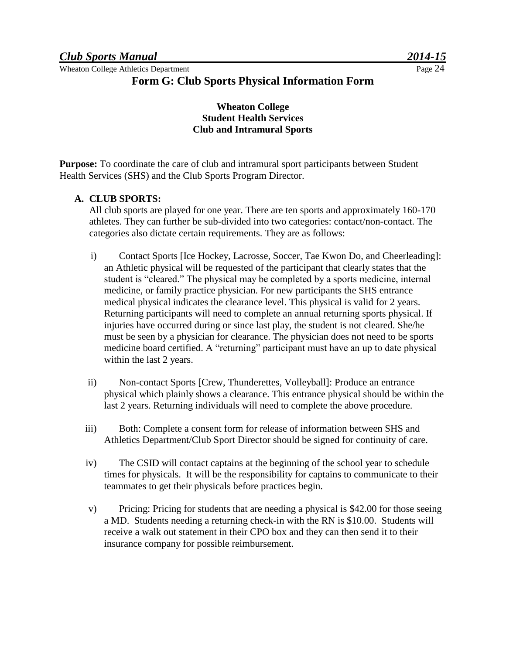#### **Form G: Club Sports Physical Information Form**

#### **Wheaton College Student Health Services Club and Intramural Sports**

**Purpose:** To coordinate the care of club and intramural sport participants between Student Health Services (SHS) and the Club Sports Program Director.

#### **A. CLUB SPORTS:**

All club sports are played for one year. There are ten sports and approximately 160-170 athletes. They can further be sub-divided into two categories: contact/non-contact. The categories also dictate certain requirements. They are as follows:

- i) Contact Sports [Ice Hockey, Lacrosse, Soccer, Tae Kwon Do, and Cheerleading]: an Athletic physical will be requested of the participant that clearly states that the student is "cleared." The physical may be completed by a sports medicine, internal medicine, or family practice physician. For new participants the SHS entrance medical physical indicates the clearance level. This physical is valid for 2 years. Returning participants will need to complete an annual returning sports physical. If injuries have occurred during or since last play, the student is not cleared. She/he must be seen by a physician for clearance. The physician does not need to be sports medicine board certified. A "returning" participant must have an up to date physical within the last 2 years.
- ii) Non-contact Sports [Crew, Thunderettes, Volleyball]: Produce an entrance physical which plainly shows a clearance. This entrance physical should be within the last 2 years. Returning individuals will need to complete the above procedure.
- iii) Both: Complete a consent form for release of information between SHS and Athletics Department/Club Sport Director should be signed for continuity of care.
- iv) The CSID will contact captains at the beginning of the school year to schedule times for physicals. It will be the responsibility for captains to communicate to their teammates to get their physicals before practices begin.
- v) Pricing: Pricing for students that are needing a physical is \$42.00 for those seeing a MD. Students needing a returning check-in with the RN is \$10.00. Students will receive a walk out statement in their CPO box and they can then send it to their insurance company for possible reimbursement.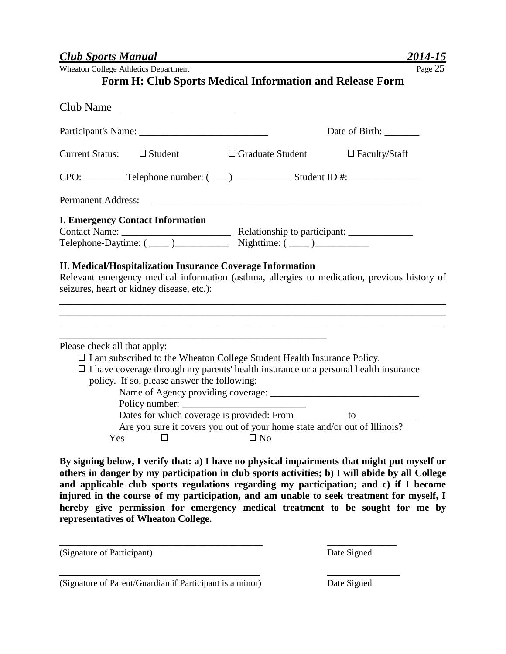**Form H: Club Sports Medical Information and Release Form**

| Club Name                                                                                                                                                                                                                                                   |                                                                                        |                      |  |  |
|-------------------------------------------------------------------------------------------------------------------------------------------------------------------------------------------------------------------------------------------------------------|----------------------------------------------------------------------------------------|----------------------|--|--|
| Participant's Name:                                                                                                                                                                                                                                         |                                                                                        | Date of Birth:       |  |  |
| Current Status: $\Box$ Student                                                                                                                                                                                                                              | $\Box$ Graduate Student                                                                | $\Box$ Faculty/Staff |  |  |
|                                                                                                                                                                                                                                                             |                                                                                        |                      |  |  |
| <b>Permanent Address:</b>                                                                                                                                                                                                                                   |                                                                                        |                      |  |  |
| <b>I. Emergency Contact Information</b><br><b>II. Medical/Hospitalization Insurance Coverage Information</b><br>Relevant emergency medical information (asthma, allergies to medication, previous history of<br>seizures, heart or kidney disease, etc.):   |                                                                                        |                      |  |  |
| Please check all that apply:<br>$\Box$ I am subscribed to the Wheaton College Student Health Insurance Policy.<br>$\Box$ I have coverage through my parents' health insurance or a personal health insurance<br>policy. If so, please answer the following: |                                                                                        |                      |  |  |
|                                                                                                                                                                                                                                                             |                                                                                        |                      |  |  |
| Yes<br>$\Box$                                                                                                                                                                                                                                               | Are you sure it covers you out of your home state and/or out of Illinois?<br>$\Box$ No |                      |  |  |

**By signing below, I verify that: a) I have no physical impairments that might put myself or others in danger by my participation in club sports activities; b) I will abide by all College and applicable club sports regulations regarding my participation; and c) if I become injured in the course of my participation, and am unable to seek treatment for myself, I hereby give permission for emergency medical treatment to be sought for me by representatives of Wheaton College.**

\_\_\_\_\_\_\_\_\_\_\_\_\_\_\_\_\_\_\_\_\_\_\_\_\_\_\_\_\_\_\_\_\_\_\_\_\_\_\_\_\_ \_\_\_\_\_\_\_\_\_\_\_\_\_\_

\_\_\_\_\_\_\_\_\_\_\_\_\_\_\_\_\_\_\_\_\_\_ \_\_\_\_\_\_\_\_

(Signature of Participant) Date Signed

(Signature of Parent/Guardian if Participant is a minor) Date Signed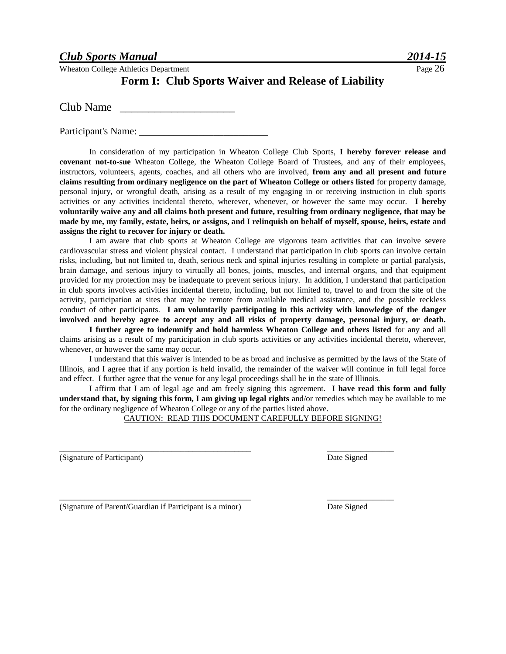#### **Form I: Club Sports Waiver and Release of Liability**

Club Name

Participant's Name: \_\_\_\_\_\_\_\_\_\_\_\_\_\_\_\_\_\_\_\_\_\_\_\_\_\_

In consideration of my participation in Wheaton College Club Sports, **I hereby forever release and covenant not-to-sue** Wheaton College, the Wheaton College Board of Trustees, and any of their employees, instructors, volunteers, agents, coaches, and all others who are involved, **from any and all present and future claims resulting from ordinary negligence on the part of Wheaton College or others listed** for property damage, personal injury, or wrongful death, arising as a result of my engaging in or receiving instruction in club sports activities or any activities incidental thereto, wherever, whenever, or however the same may occur. **I hereby voluntarily waive any and all claims both present and future, resulting from ordinary negligence, that may be made by me, my family, estate, heirs, or assigns, and I relinquish on behalf of myself, spouse, heirs, estate and assigns the right to recover for injury or death.** 

I am aware that club sports at Wheaton College are vigorous team activities that can involve severe cardiovascular stress and violent physical contact. I understand that participation in club sports can involve certain risks, including, but not limited to, death, serious neck and spinal injuries resulting in complete or partial paralysis, brain damage, and serious injury to virtually all bones, joints, muscles, and internal organs, and that equipment provided for my protection may be inadequate to prevent serious injury. In addition, I understand that participation in club sports involves activities incidental thereto, including, but not limited to, travel to and from the site of the activity, participation at sites that may be remote from available medical assistance, and the possible reckless conduct of other participants. **I am voluntarily participating in this activity with knowledge of the danger involved and hereby agree to accept any and all risks of property damage, personal injury, or death.** 

**I further agree to indemnify and hold harmless Wheaton College and others listed** for any and all claims arising as a result of my participation in club sports activities or any activities incidental thereto, wherever, whenever, or however the same may occur.

I understand that this waiver is intended to be as broad and inclusive as permitted by the laws of the State of Illinois, and I agree that if any portion is held invalid, the remainder of the waiver will continue in full legal force and effect. I further agree that the venue for any legal proceedings shall be in the state of Illinois.

I affirm that I am of legal age and am freely signing this agreement. **I have read this form and fully understand that, by signing this form, I am giving up legal rights** and/or remedies which may be available to me for the ordinary negligence of Wheaton College or any of the parties listed above.

CAUTION: READ THIS DOCUMENT CAREFULLY BEFORE SIGNING!

\_\_\_\_\_\_\_\_\_\_\_\_\_\_\_\_\_\_\_\_\_\_\_\_\_\_\_\_\_\_\_\_\_\_\_\_\_\_\_\_\_\_\_\_\_\_ \_\_\_\_\_\_\_\_\_\_\_\_\_\_\_\_

(Signature of Participant) Date Signed

\_\_\_\_\_\_\_\_\_\_\_\_\_\_\_\_\_\_\_\_\_\_\_\_\_\_\_\_\_\_\_\_\_\_\_\_\_\_\_\_\_\_\_\_\_\_ \_\_\_\_\_\_\_\_\_\_\_\_\_\_\_\_ (Signature of Parent/Guardian if Participant is a minor) Date Signed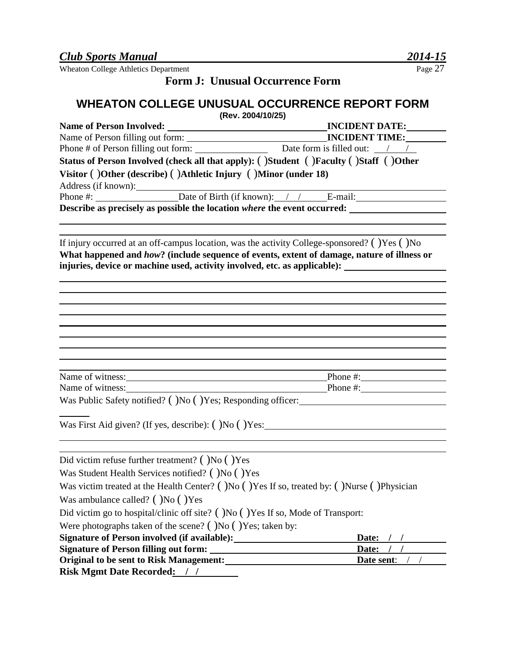#### **Form J: Unusual Occurrence Form**

#### **WHEATON COLLEGE UNUSUAL OCCURRENCE REPORT FORM**

**(Rev. 2004/10/25)** 

| <b>Name of Person Involved:</b> |                                                                 | <b>INCIDENT DATE:</b>                                                                     |
|---------------------------------|-----------------------------------------------------------------|-------------------------------------------------------------------------------------------|
|                                 | Name of Person filling out form:                                | <b>INCIDENT TIME:</b>                                                                     |
|                                 | Phone # of Person filling out form:                             | Date form is filled out: $\frac{1}{\sqrt{1-\frac{1}{2}}}$                                 |
|                                 |                                                                 | Status of Person Involved (check all that apply): ( )Student ( )Faculty ( )Staff ( )Other |
|                                 | Visitor ()Other (describe) ()Athletic Injury ()Minor (under 18) |                                                                                           |
|                                 |                                                                 | Phone #: Date of Birth (if known): / / E-mail:                                            |
|                                 |                                                                 | Describe as precisely as possible the location where the event occurred:                  |

If injury occurred at an off-campus location, was the activity College-sponsored? ( )Yes ( )No **What happened and** *how***? (include sequence of events, extent of damage, nature of illness or**  injuries, device or machine used, activity involved, etc. as applicable):

| Name of witness: |      | Phone $\#$ : |  |
|------------------|------|--------------|--|
| Name of witness: |      | Phone #:     |  |
| ____ _ _ _ _ _ _ | $ -$ |              |  |

Was Public Safety notified? ( )No ( )Yes; Responding officer:

Was First Aid given? (If yes, describe): ()No ()Yes:

| Did victim refuse further treatment? $($ )No $($ )Yes                                        |            |
|----------------------------------------------------------------------------------------------|------------|
| Was Student Health Services notified? ()No () Yes                                            |            |
| Was victim treated at the Health Center? ()No () Yes If so, treated by: ()Nurse () Physician |            |
| Was ambulance called? ()No () Yes                                                            |            |
| Did victim go to hospital/clinic off site? ()No () Yes If so, Mode of Transport:             |            |
| Were photographs taken of the scene? ( $\overline{)No}$ ( $\overline{)Yes}$ ; taken by:      |            |
| <b>Signature of Person involved (if available):</b>                                          | Date:      |
| <b>Signature of Person filling out form:</b>                                                 | Date:      |
| <b>Original to be sent to Risk Management:</b>                                               | Date sent: |
| <b>Risk Mgmt Date Recorded:</b>                                                              |            |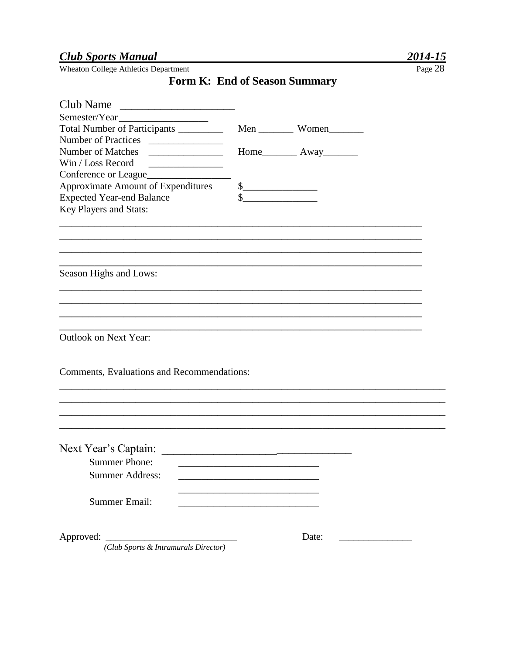#### **Club Sports Manual**

Wheaton College Athletics Department

#### Form K: End of Season Summary

| Club Name<br><u> 2002 - Jan James James Jan James James James James James James James James James James James James James James</u> |                                                                                                                                                                                                                                                                                                                                                     |                                 |  |
|-------------------------------------------------------------------------------------------------------------------------------------|-----------------------------------------------------------------------------------------------------------------------------------------------------------------------------------------------------------------------------------------------------------------------------------------------------------------------------------------------------|---------------------------------|--|
| Semester/Year                                                                                                                       |                                                                                                                                                                                                                                                                                                                                                     |                                 |  |
| Total Number of Participants _________                                                                                              |                                                                                                                                                                                                                                                                                                                                                     | Men Women                       |  |
| Number of Practices                                                                                                                 |                                                                                                                                                                                                                                                                                                                                                     |                                 |  |
| Number of Matches<br><u> 1989 - Johann Barn, fransk politik (</u>                                                                   |                                                                                                                                                                                                                                                                                                                                                     | Home____________ Away__________ |  |
| Win / Loss Record                                                                                                                   |                                                                                                                                                                                                                                                                                                                                                     |                                 |  |
| Conference or League                                                                                                                |                                                                                                                                                                                                                                                                                                                                                     |                                 |  |
| Approximate Amount of Expenditures                                                                                                  | $\begin{picture}(20,10) \put(0,0){\line(1,0){10}} \put(15,0){\line(1,0){10}} \put(15,0){\line(1,0){10}} \put(15,0){\line(1,0){10}} \put(15,0){\line(1,0){10}} \put(15,0){\line(1,0){10}} \put(15,0){\line(1,0){10}} \put(15,0){\line(1,0){10}} \put(15,0){\line(1,0){10}} \put(15,0){\line(1,0){10}} \put(15,0){\line(1,0){10}} \put(15,0){\line(1$ |                                 |  |
| <b>Expected Year-end Balance</b>                                                                                                    | \$                                                                                                                                                                                                                                                                                                                                                  |                                 |  |
| Key Players and Stats:                                                                                                              |                                                                                                                                                                                                                                                                                                                                                     |                                 |  |
|                                                                                                                                     |                                                                                                                                                                                                                                                                                                                                                     |                                 |  |
|                                                                                                                                     |                                                                                                                                                                                                                                                                                                                                                     |                                 |  |
|                                                                                                                                     |                                                                                                                                                                                                                                                                                                                                                     |                                 |  |
| Season Highs and Lows:                                                                                                              |                                                                                                                                                                                                                                                                                                                                                     |                                 |  |
|                                                                                                                                     |                                                                                                                                                                                                                                                                                                                                                     |                                 |  |
|                                                                                                                                     |                                                                                                                                                                                                                                                                                                                                                     |                                 |  |
|                                                                                                                                     |                                                                                                                                                                                                                                                                                                                                                     |                                 |  |
| <b>Outlook on Next Year:</b>                                                                                                        |                                                                                                                                                                                                                                                                                                                                                     |                                 |  |
|                                                                                                                                     |                                                                                                                                                                                                                                                                                                                                                     |                                 |  |
| Comments, Evaluations and Recommendations:                                                                                          |                                                                                                                                                                                                                                                                                                                                                     |                                 |  |
|                                                                                                                                     |                                                                                                                                                                                                                                                                                                                                                     |                                 |  |
|                                                                                                                                     |                                                                                                                                                                                                                                                                                                                                                     |                                 |  |
|                                                                                                                                     |                                                                                                                                                                                                                                                                                                                                                     |                                 |  |
| Next Year's Captain:                                                                                                                |                                                                                                                                                                                                                                                                                                                                                     |                                 |  |
| <b>Summer Phone:</b>                                                                                                                |                                                                                                                                                                                                                                                                                                                                                     |                                 |  |
|                                                                                                                                     |                                                                                                                                                                                                                                                                                                                                                     |                                 |  |
| <b>Summer Address:</b>                                                                                                              |                                                                                                                                                                                                                                                                                                                                                     |                                 |  |
| <b>Summer Email:</b>                                                                                                                |                                                                                                                                                                                                                                                                                                                                                     |                                 |  |
|                                                                                                                                     |                                                                                                                                                                                                                                                                                                                                                     |                                 |  |
| Approved:                                                                                                                           |                                                                                                                                                                                                                                                                                                                                                     | Date:                           |  |
| (Club Sports & Intramurals Director)                                                                                                |                                                                                                                                                                                                                                                                                                                                                     |                                 |  |

Page 28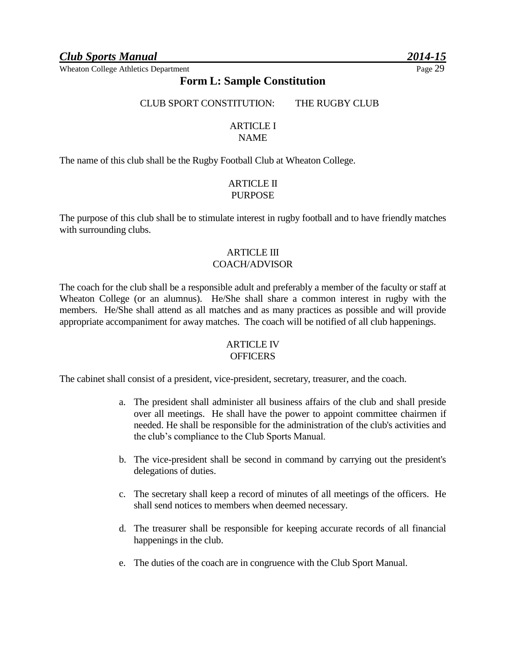#### **Form L: Sample Constitution**

CLUB SPORT CONSTITUTION: THE RUGBY CLUB

#### ARTICLE I

#### NAME

The name of this club shall be the Rugby Football Club at Wheaton College.

#### ARTICLE II PURPOSE

The purpose of this club shall be to stimulate interest in rugby football and to have friendly matches with surrounding clubs.

#### ARTICLE III COACH/ADVISOR

The coach for the club shall be a responsible adult and preferably a member of the faculty or staff at Wheaton College (or an alumnus). He/She shall share a common interest in rugby with the members. He/She shall attend as all matches and as many practices as possible and will provide appropriate accompaniment for away matches. The coach will be notified of all club happenings.

#### ARTICLE IV **OFFICERS**

The cabinet shall consist of a president, vice-president, secretary, treasurer, and the coach.

- a. The president shall administer all business affairs of the club and shall preside over all meetings. He shall have the power to appoint committee chairmen if needed. He shall be responsible for the administration of the club's activities and the club's compliance to the Club Sports Manual.
- b. The vice-president shall be second in command by carrying out the president's delegations of duties.
- c. The secretary shall keep a record of minutes of all meetings of the officers. He shall send notices to members when deemed necessary.
- d. The treasurer shall be responsible for keeping accurate records of all financial happenings in the club.
- e. The duties of the coach are in congruence with the Club Sport Manual.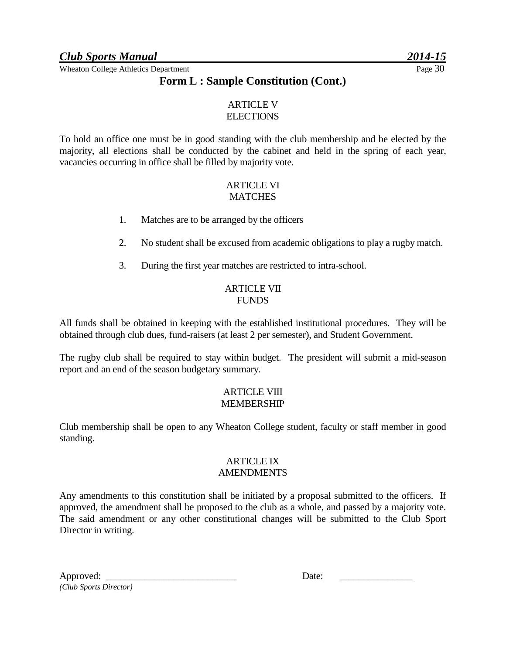#### **Form L : Sample Constitution (Cont.)**

#### ARTICLE V **ELECTIONS**

To hold an office one must be in good standing with the club membership and be elected by the majority, all elections shall be conducted by the cabinet and held in the spring of each year, vacancies occurring in office shall be filled by majority vote.

#### ARTICLE VI **MATCHES**

- 1. Matches are to be arranged by the officers
- 2. No student shall be excused from academic obligations to play a rugby match.
- 3. During the first year matches are restricted to intra-school.

#### ARTICLE VII **FUNDS**

All funds shall be obtained in keeping with the established institutional procedures. They will be obtained through club dues, fund-raisers (at least 2 per semester), and Student Government.

The rugby club shall be required to stay within budget. The president will submit a mid-season report and an end of the season budgetary summary.

#### ARTICLE VIII MEMBERSHIP

Club membership shall be open to any Wheaton College student, faculty or staff member in good standing.

#### ARTICLE IX **AMENDMENTS**

Any amendments to this constitution shall be initiated by a proposal submitted to the officers. If approved, the amendment shall be proposed to the club as a whole, and passed by a majority vote. The said amendment or any other constitutional changes will be submitted to the Club Sport Director in writing.

| Approved:              |  |
|------------------------|--|
| (Club Sports Director) |  |

| Approved:<br>Date: |
|--------------------|
|--------------------|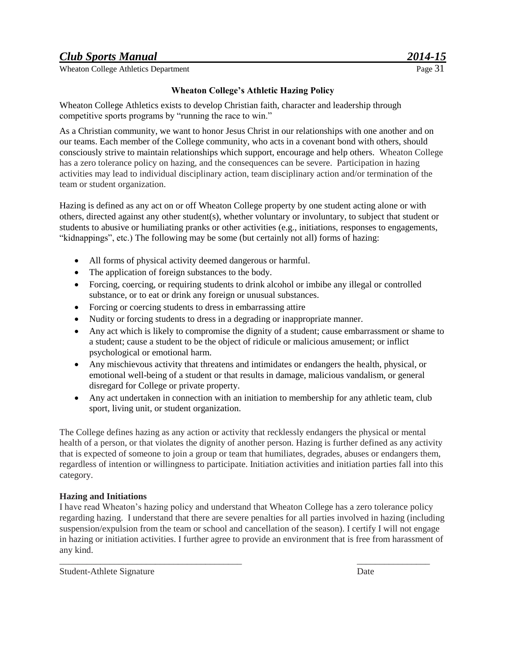Wheaton College Athletics Department

#### **Wheaton College's Athletic Hazing Policy**

Wheaton College Athletics exists to develop Christian faith, character and leadership through competitive sports programs by "running the race to win."

As a Christian community, we want to honor Jesus Christ in our relationships with one another and on our teams. Each member of the College community, who acts in a covenant bond with others, should consciously strive to maintain relationships which support, encourage and help others. Wheaton College has a zero tolerance policy on hazing, and the consequences can be severe. Participation in hazing activities may lead to individual disciplinary action, team disciplinary action and/or termination of the team or student organization.

Hazing is defined as any act on or off Wheaton College property by one student acting alone or with others, directed against any other student(s), whether voluntary or involuntary, to subject that student or students to abusive or humiliating pranks or other activities (e.g., initiations, responses to engagements, "kidnappings", etc.) The following may be some (but certainly not all) forms of hazing:

- All forms of physical activity deemed dangerous or harmful.
- The application of foreign substances to the body.
- Forcing, coercing, or requiring students to drink alcohol or imbibe any illegal or controlled substance, or to eat or drink any foreign or unusual substances.
- Forcing or coercing students to dress in embarrassing attire
- Nudity or forcing students to dress in a degrading or inappropriate manner.
- Any act which is likely to compromise the dignity of a student; cause embarrassment or shame to a student; cause a student to be the object of ridicule or malicious amusement; or inflict psychological or emotional harm.
- Any mischievous activity that threatens and intimidates or endangers the health, physical, or emotional well-being of a student or that results in damage, malicious vandalism, or general disregard for College or private property.
- Any act undertaken in connection with an initiation to membership for any athletic team, club sport, living unit, or student organization.

The College defines hazing as any action or activity that recklessly endangers the physical or mental health of a person, or that violates the dignity of another person. Hazing is further defined as any activity that is expected of someone to join a group or team that humiliates, degrades, abuses or endangers them, regardless of intention or willingness to participate. Initiation activities and initiation parties fall into this category.

#### **Hazing and Initiations**

I have read Wheaton's hazing policy and understand that Wheaton College has a zero tolerance policy regarding hazing. I understand that there are severe penalties for all parties involved in hazing (including suspension/expulsion from the team or school and cancellation of the season). I certify I will not engage in hazing or initiation activities. I further agree to provide an environment that is free from harassment of any kind.

\_\_\_\_\_\_\_\_\_\_\_\_\_\_\_\_\_\_\_\_\_\_\_\_\_\_\_\_\_\_\_\_\_\_\_\_\_\_\_\_ \_\_\_\_\_\_\_\_\_\_\_\_\_\_\_\_

Student-Athlete Signature Date Date Date Date Date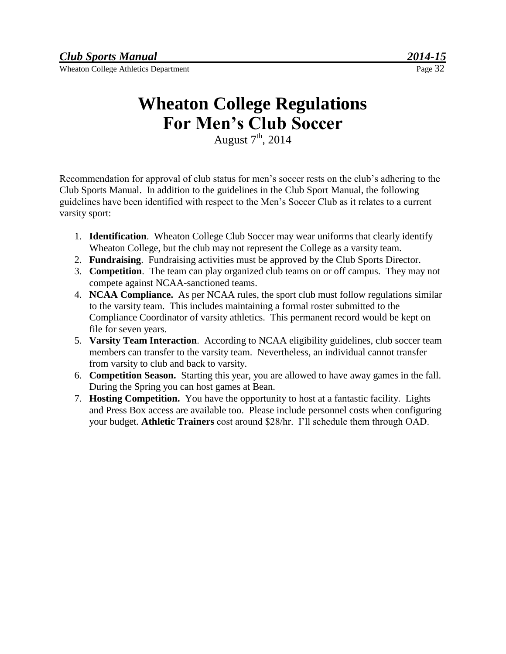## **Wheaton College Regulations For Men's Club Soccer**

August  $7<sup>th</sup>$ , 2014

Recommendation for approval of club status for men's soccer rests on the club's adhering to the Club Sports Manual. In addition to the guidelines in the Club Sport Manual, the following guidelines have been identified with respect to the Men's Soccer Club as it relates to a current varsity sport:

- 1. **Identification**. Wheaton College Club Soccer may wear uniforms that clearly identify Wheaton College, but the club may not represent the College as a varsity team.
- 2. **Fundraising**. Fundraising activities must be approved by the Club Sports Director.
- 3. **Competition**. The team can play organized club teams on or off campus. They may not compete against NCAA-sanctioned teams.
- 4. **NCAA Compliance.** As per NCAA rules, the sport club must follow regulations similar to the varsity team. This includes maintaining a formal roster submitted to the Compliance Coordinator of varsity athletics. This permanent record would be kept on file for seven years.
- 5. **Varsity Team Interaction**. According to NCAA eligibility guidelines, club soccer team members can transfer to the varsity team. Nevertheless, an individual cannot transfer from varsity to club and back to varsity.
- 6. **Competition Season.** Starting this year, you are allowed to have away games in the fall. During the Spring you can host games at Bean.
- 7. **Hosting Competition.** You have the opportunity to host at a fantastic facility. Lights and Press Box access are available too. Please include personnel costs when configuring your budget. **Athletic Trainers** cost around \$28/hr. I'll schedule them through OAD.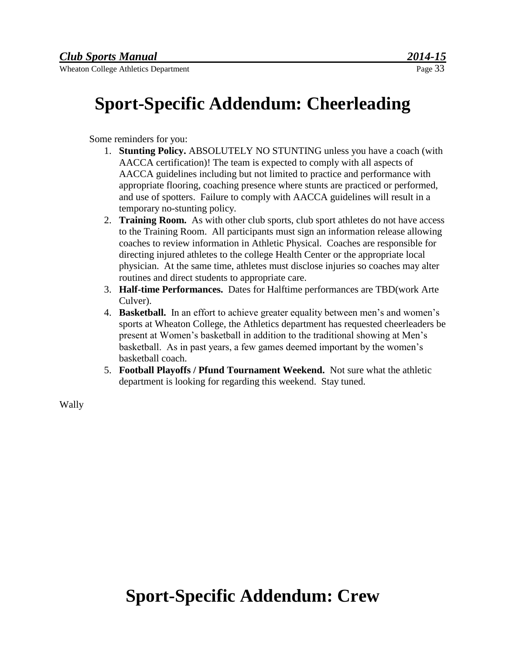## **Sport-Specific Addendum: Cheerleading**

Some reminders for you:

- 1. **Stunting Policy.** ABSOLUTELY NO STUNTING unless you have a coach (with AACCA certification)! The team is expected to comply with all aspects of AACCA guidelines including but not limited to practice and performance with appropriate flooring, coaching presence where stunts are practiced or performed, and use of spotters. Failure to comply with AACCA guidelines will result in a temporary no-stunting policy.
- 2. **Training Room.** As with other club sports, club sport athletes do not have access to the Training Room. All participants must sign an information release allowing coaches to review information in Athletic Physical. Coaches are responsible for directing injured athletes to the college Health Center or the appropriate local physician. At the same time, athletes must disclose injuries so coaches may alter routines and direct students to appropriate care.
- 3. **Half-time Performances.** Dates for Halftime performances are TBD(work Arte Culver).
- 4. **Basketball.** In an effort to achieve greater equality between men's and women's sports at Wheaton College, the Athletics department has requested cheerleaders be present at Women's basketball in addition to the traditional showing at Men's basketball. As in past years, a few games deemed important by the women's basketball coach.
- 5. **Football Playoffs / Pfund Tournament Weekend.** Not sure what the athletic department is looking for regarding this weekend. Stay tuned.

Wally

## **Sport-Specific Addendum: Crew**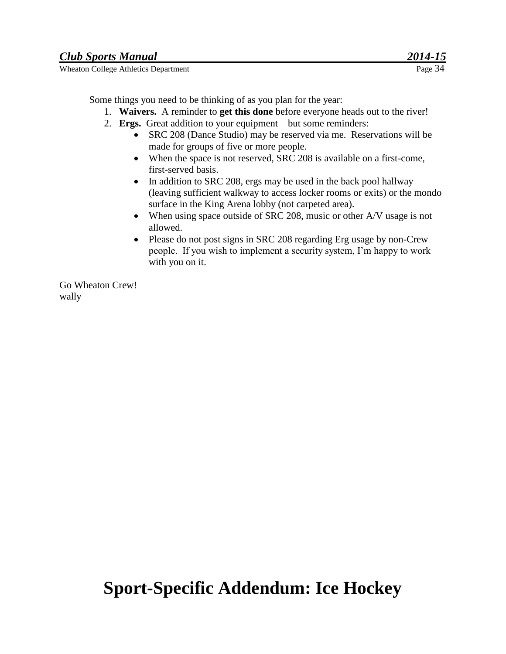Some things you need to be thinking of as you plan for the year:

- 1. **Waivers.** A reminder to **get this done** before everyone heads out to the river!
- 2. **Ergs.** Great addition to your equipment but some reminders:
	- SRC 208 (Dance Studio) may be reserved via me. Reservations will be made for groups of five or more people.
	- When the space is not reserved, SRC 208 is available on a first-come, first-served basis.
	- In addition to SRC 208, ergs may be used in the back pool hallway (leaving sufficient walkway to access locker rooms or exits) or the mondo surface in the King Arena lobby (not carpeted area).
	- When using space outside of SRC 208, music or other A/V usage is not allowed.
	- Please do not post signs in SRC 208 regarding Erg usage by non-Crew people. If you wish to implement a security system, I'm happy to work with you on it.

Go Wheaton Crew! wally

## **Sport-Specific Addendum: Ice Hockey**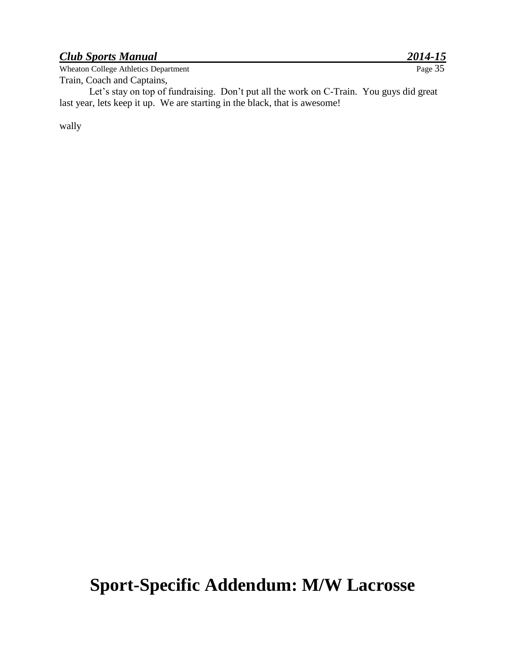Wheaton College Athletics Department Train, Coach and Captains,

Let's stay on top of fundraising. Don't put all the work on C-Train. You guys did great last year, lets keep it up. We are starting in the black, that is awesome!

wally

## **Sport-Specific Addendum: M/W Lacrosse**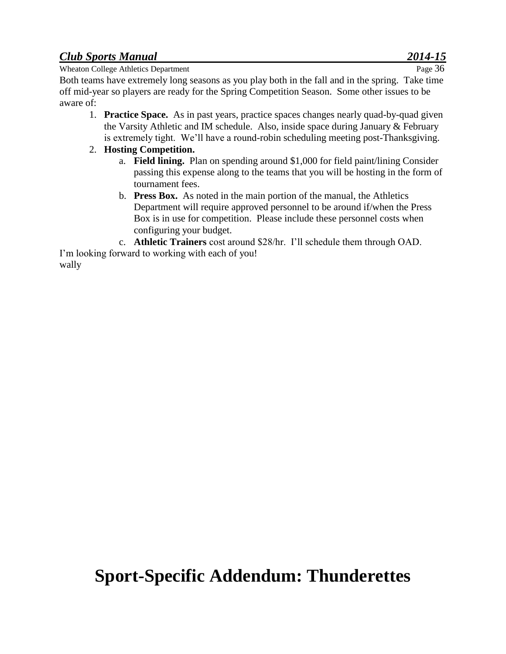Wheaton College Athletics Department Page 36

Both teams have extremely long seasons as you play both in the fall and in the spring. Take time off mid-year so players are ready for the Spring Competition Season. Some other issues to be aware of:

1. **Practice Space.** As in past years, practice spaces changes nearly quad-by-quad given the Varsity Athletic and IM schedule. Also, inside space during January & February is extremely tight. We'll have a round-robin scheduling meeting post-Thanksgiving.

#### 2. **Hosting Competition.**

- a. **Field lining.** Plan on spending around \$1,000 for field paint/lining Consider passing this expense along to the teams that you will be hosting in the form of tournament fees.
- b. **Press Box.** As noted in the main portion of the manual, the Athletics Department will require approved personnel to be around if/when the Press Box is in use for competition. Please include these personnel costs when configuring your budget.
- c. **Athletic Trainers** cost around \$28/hr. I'll schedule them through OAD.

I'm looking forward to working with each of you! wally

## **Sport-Specific Addendum: Thunderettes**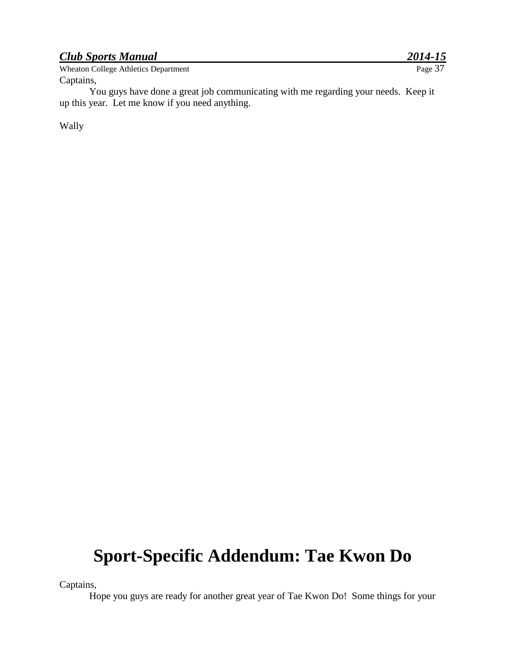| <b>Club Sports Manual</b>            | 2014-15 |
|--------------------------------------|---------|
| Wheaton College Athletics Department | Page 37 |
| Captains,                            |         |

You guys have done a great job communicating with me regarding your needs. Keep it up this year. Let me know if you need anything.

Wally

## **Sport-Specific Addendum: Tae Kwon Do**

Captains,

Hope you guys are ready for another great year of Tae Kwon Do! Some things for your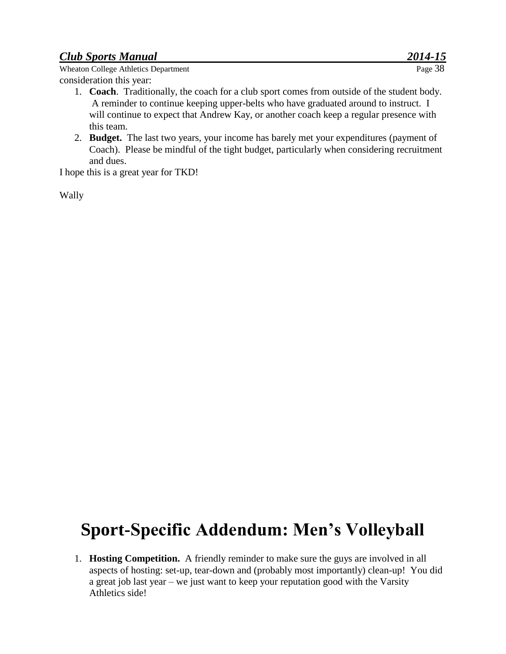Wheaton College Athletics Department consideration this year:

- 1. **Coach**. Traditionally, the coach for a club sport comes from outside of the student body. A reminder to continue keeping upper-belts who have graduated around to instruct. I will continue to expect that Andrew Kay, or another coach keep a regular presence with this team.
- 2. **Budget.** The last two years, your income has barely met your expenditures (payment of Coach). Please be mindful of the tight budget, particularly when considering recruitment and dues.

I hope this is a great year for TKD!

Wally

## **Sport-Specific Addendum: Men's Volleyball**

1. **Hosting Competition.** A friendly reminder to make sure the guys are involved in all aspects of hosting: set-up, tear-down and (probably most importantly) clean-up! You did a great job last year – we just want to keep your reputation good with the Varsity Athletics side!